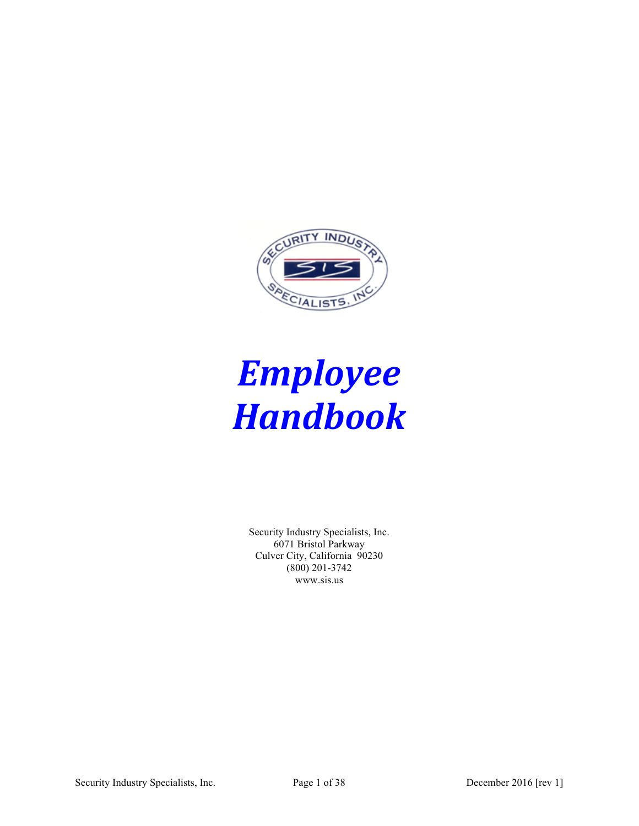

# *Employee Handbook*

Security Industry Specialists, Inc. 6071 Bristol Parkway Culver City, California 90230 (800) 201-3742 www.sis.us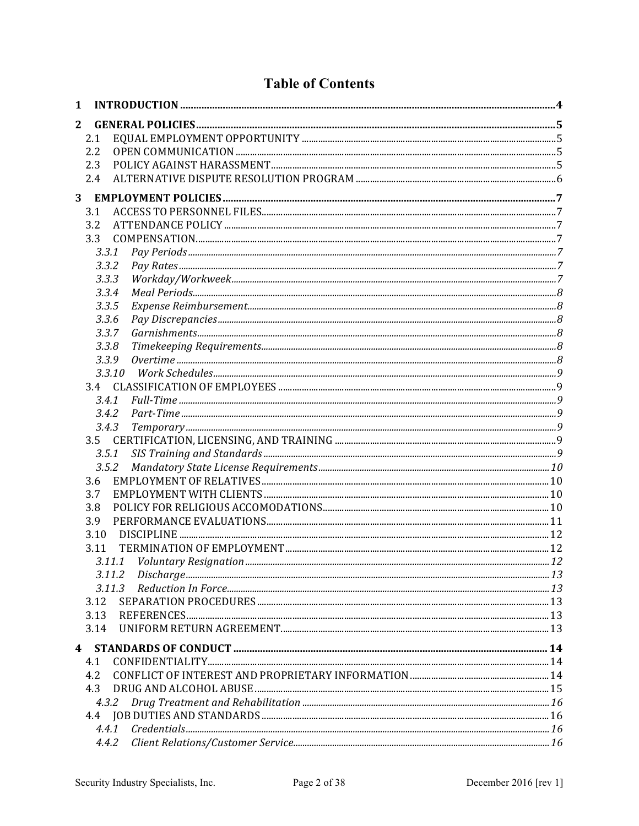#### **Table of Contents**

| 1 |        |  |
|---|--------|--|
| 2 |        |  |
|   | 2.1    |  |
|   | 2.2    |  |
|   | 2.3    |  |
|   | 2.4    |  |
| 3 |        |  |
|   | 3.1    |  |
|   | 3.2    |  |
|   | 3.3    |  |
|   | 3.3.1  |  |
|   | 3.3.2  |  |
|   | 3.3.3  |  |
|   | 3.3.4  |  |
|   | 3.3.5  |  |
|   | 3.3.6  |  |
|   | 3.3.7  |  |
|   | 3.3.8  |  |
|   | 3.3.9  |  |
|   | 3.3.10 |  |
|   |        |  |
|   | 3.4.1  |  |
|   | 3.4.2  |  |
|   | 3.4.3  |  |
|   | 3.5    |  |
|   | 3.5.1  |  |
|   | 3.5.2  |  |
|   | 3.6    |  |
|   | 3.7    |  |
|   | 3.8    |  |
|   | 3.9    |  |
|   | 3.10   |  |
|   | 3.11   |  |
|   | 3.11.1 |  |
|   | 3.11.2 |  |
|   | 3.11.3 |  |
|   | 3.12   |  |
|   | 3.13   |  |
|   | 3.14   |  |
|   |        |  |
|   | 4.1    |  |
|   | 4.2    |  |
|   | 4.3    |  |
|   | 4.3.2  |  |
|   |        |  |
|   |        |  |
|   | 4.4.2  |  |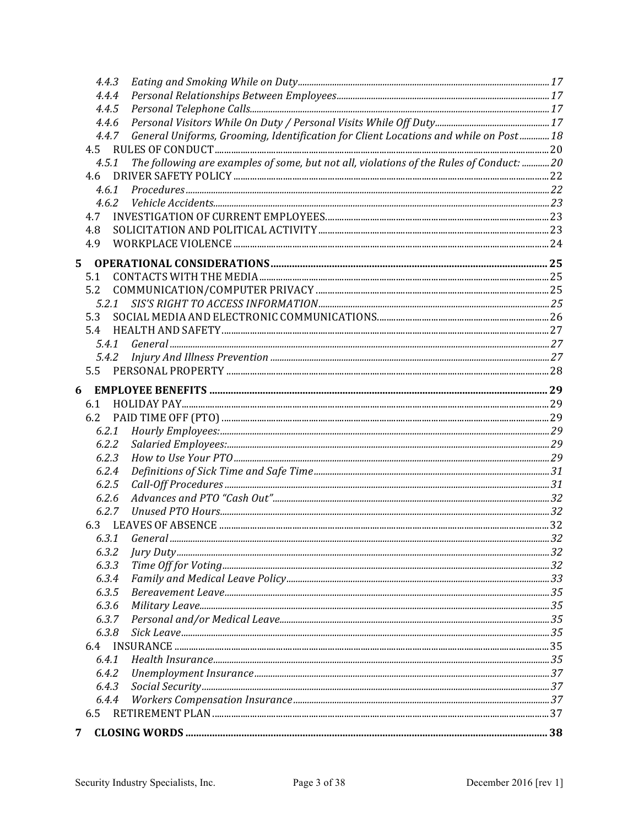| 4.4.3 |                                                                                         |  |
|-------|-----------------------------------------------------------------------------------------|--|
| 4.4.4 |                                                                                         |  |
| 4.4.5 |                                                                                         |  |
| 4.4.6 |                                                                                         |  |
| 4.4.7 | General Uniforms, Grooming, Identification for Client Locations and while on Post 18    |  |
|       |                                                                                         |  |
| 4.5.1 | The following are examples of some, but not all, violations of the Rules of Conduct: 20 |  |
| 4.6   |                                                                                         |  |
| 4.6.1 |                                                                                         |  |
|       |                                                                                         |  |
| 4.7   |                                                                                         |  |
| 4.8   |                                                                                         |  |
| 4.9   |                                                                                         |  |
|       |                                                                                         |  |
| 5.    |                                                                                         |  |
| 5.1   |                                                                                         |  |
| 5.2   |                                                                                         |  |
| 5.2.1 |                                                                                         |  |
| 5.3   |                                                                                         |  |
| 5.4   |                                                                                         |  |
| 5.4.1 |                                                                                         |  |
| 5.4.2 |                                                                                         |  |
| 5.5   |                                                                                         |  |
| 6     |                                                                                         |  |
| 6.1   |                                                                                         |  |
| 6.2   |                                                                                         |  |
| 6.2.1 |                                                                                         |  |
| 6.2.2 |                                                                                         |  |
| 6.2.3 |                                                                                         |  |
| 6.2.4 |                                                                                         |  |
| 6.2.5 |                                                                                         |  |
| 6.2.6 |                                                                                         |  |
| 6.2.7 |                                                                                         |  |
|       |                                                                                         |  |
| 6.3.1 |                                                                                         |  |
| 6.3.2 |                                                                                         |  |
| 6.3.3 |                                                                                         |  |
| 6.3.4 |                                                                                         |  |
| 6.3.5 |                                                                                         |  |
| 6.3.6 |                                                                                         |  |
| 6.3.7 |                                                                                         |  |
| 6.3.8 |                                                                                         |  |
| 6.4   |                                                                                         |  |
| 6.4.1 |                                                                                         |  |
| 6.4.2 |                                                                                         |  |
| 6.4.3 |                                                                                         |  |
| 6.4.4 |                                                                                         |  |
| 6.5   |                                                                                         |  |
|       |                                                                                         |  |
| 7     |                                                                                         |  |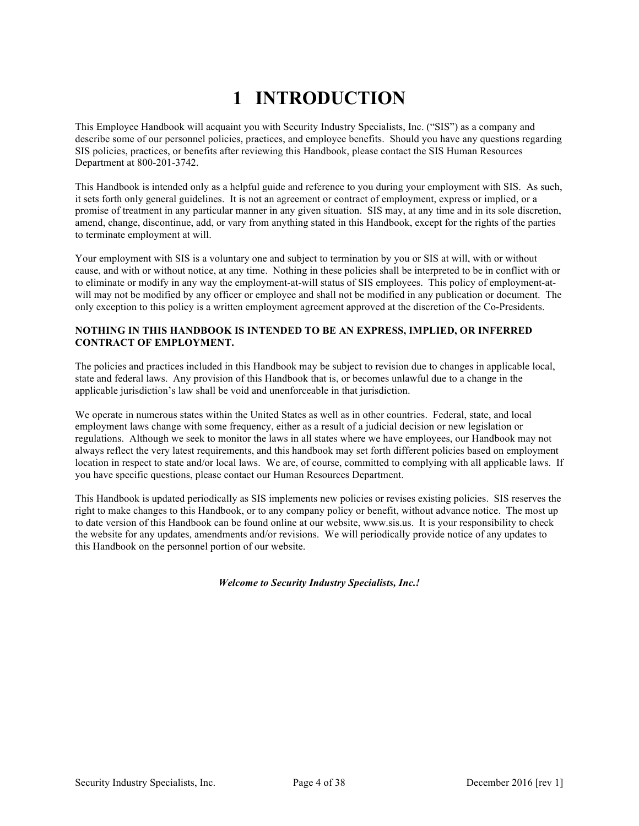# **1 INTRODUCTION**

This Employee Handbook will acquaint you with Security Industry Specialists, Inc. ("SIS") as a company and describe some of our personnel policies, practices, and employee benefits. Should you have any questions regarding SIS policies, practices, or benefits after reviewing this Handbook, please contact the SIS Human Resources Department at 800-201-3742.

This Handbook is intended only as a helpful guide and reference to you during your employment with SIS. As such, it sets forth only general guidelines. It is not an agreement or contract of employment, express or implied, or a promise of treatment in any particular manner in any given situation. SIS may, at any time and in its sole discretion, amend, change, discontinue, add, or vary from anything stated in this Handbook, except for the rights of the parties to terminate employment at will.

Your employment with SIS is a voluntary one and subject to termination by you or SIS at will, with or without cause, and with or without notice, at any time. Nothing in these policies shall be interpreted to be in conflict with or to eliminate or modify in any way the employment-at-will status of SIS employees. This policy of employment-atwill may not be modified by any officer or employee and shall not be modified in any publication or document. The only exception to this policy is a written employment agreement approved at the discretion of the Co-Presidents.

#### **NOTHING IN THIS HANDBOOK IS INTENDED TO BE AN EXPRESS, IMPLIED, OR INFERRED CONTRACT OF EMPLOYMENT.**

The policies and practices included in this Handbook may be subject to revision due to changes in applicable local, state and federal laws. Any provision of this Handbook that is, or becomes unlawful due to a change in the applicable jurisdiction's law shall be void and unenforceable in that jurisdiction.

We operate in numerous states within the United States as well as in other countries. Federal, state, and local employment laws change with some frequency, either as a result of a judicial decision or new legislation or regulations. Although we seek to monitor the laws in all states where we have employees, our Handbook may not always reflect the very latest requirements, and this handbook may set forth different policies based on employment location in respect to state and/or local laws. We are, of course, committed to complying with all applicable laws. If you have specific questions, please contact our Human Resources Department.

This Handbook is updated periodically as SIS implements new policies or revises existing policies. SIS reserves the right to make changes to this Handbook, or to any company policy or benefit, without advance notice. The most up to date version of this Handbook can be found online at our website, www.sis.us. It is your responsibility to check the website for any updates, amendments and/or revisions. We will periodically provide notice of any updates to this Handbook on the personnel portion of our website.

*Welcome to Security Industry Specialists, Inc.!*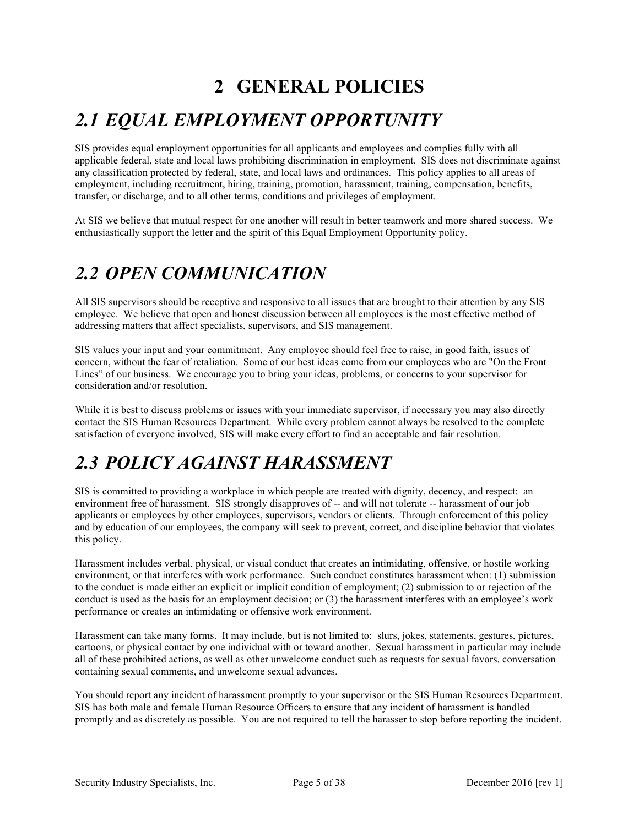### **2 GENERAL POLICIES**

### *2.1 EQUAL EMPLOYMENT OPPORTUNITY*

SIS provides equal employment opportunities for all applicants and employees and complies fully with all applicable federal, state and local laws prohibiting discrimination in employment. SIS does not discriminate against any classification protected by federal, state, and local laws and ordinances. This policy applies to all areas of employment, including recruitment, hiring, training, promotion, harassment, training, compensation, benefits, transfer, or discharge, and to all other terms, conditions and privileges of employment.

At SIS we believe that mutual respect for one another will result in better teamwork and more shared success. We enthusiastically support the letter and the spirit of this Equal Employment Opportunity policy.

### *2.2 OPEN COMMUNICATION*

All SIS supervisors should be receptive and responsive to all issues that are brought to their attention by any SIS employee. We believe that open and honest discussion between all employees is the most effective method of addressing matters that affect specialists, supervisors, and SIS management.

SIS values your input and your commitment. Any employee should feel free to raise, in good faith, issues of concern, without the fear of retaliation. Some of our best ideas come from our employees who are "On the Front Lines" of our business. We encourage you to bring your ideas, problems, or concerns to your supervisor for consideration and/or resolution.

While it is best to discuss problems or issues with your immediate supervisor, if necessary you may also directly contact the SIS Human Resources Department. While every problem cannot always be resolved to the complete satisfaction of everyone involved, SIS will make every effort to find an acceptable and fair resolution.

### *2.3 POLICY AGAINST HARASSMENT*

SIS is committed to providing a workplace in which people are treated with dignity, decency, and respect: an environment free of harassment. SIS strongly disapproves of -- and will not tolerate -- harassment of our job applicants or employees by other employees, supervisors, vendors or clients. Through enforcement of this policy and by education of our employees, the company will seek to prevent, correct, and discipline behavior that violates this policy.

Harassment includes verbal, physical, or visual conduct that creates an intimidating, offensive, or hostile working environment, or that interferes with work performance. Such conduct constitutes harassment when: (1) submission to the conduct is made either an explicit or implicit condition of employment; (2) submission to or rejection of the conduct is used as the basis for an employment decision; or (3) the harassment interferes with an employee's work performance or creates an intimidating or offensive work environment.

Harassment can take many forms. It may include, but is not limited to: slurs, jokes, statements, gestures, pictures, cartoons, or physical contact by one individual with or toward another. Sexual harassment in particular may include all of these prohibited actions, as well as other unwelcome conduct such as requests for sexual favors, conversation containing sexual comments, and unwelcome sexual advances.

You should report any incident of harassment promptly to your supervisor or the SIS Human Resources Department. SIS has both male and female Human Resource Officers to ensure that any incident of harassment is handled promptly and as discretely as possible. You are not required to tell the harasser to stop before reporting the incident.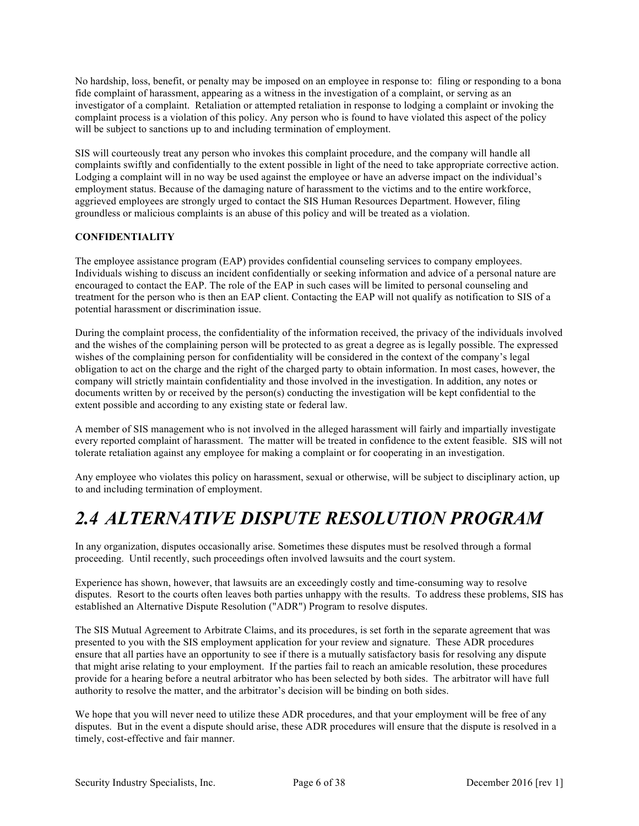No hardship, loss, benefit, or penalty may be imposed on an employee in response to: filing or responding to a bona fide complaint of harassment, appearing as a witness in the investigation of a complaint, or serving as an investigator of a complaint. Retaliation or attempted retaliation in response to lodging a complaint or invoking the complaint process is a violation of this policy. Any person who is found to have violated this aspect of the policy will be subject to sanctions up to and including termination of employment.

SIS will courteously treat any person who invokes this complaint procedure, and the company will handle all complaints swiftly and confidentially to the extent possible in light of the need to take appropriate corrective action. Lodging a complaint will in no way be used against the employee or have an adverse impact on the individual's employment status. Because of the damaging nature of harassment to the victims and to the entire workforce, aggrieved employees are strongly urged to contact the SIS Human Resources Department. However, filing groundless or malicious complaints is an abuse of this policy and will be treated as a violation.

#### **CONFIDENTIALITY**

The employee assistance program (EAP) provides confidential counseling services to company employees. Individuals wishing to discuss an incident confidentially or seeking information and advice of a personal nature are encouraged to contact the EAP. The role of the EAP in such cases will be limited to personal counseling and treatment for the person who is then an EAP client. Contacting the EAP will not qualify as notification to SIS of a potential harassment or discrimination issue.

During the complaint process, the confidentiality of the information received, the privacy of the individuals involved and the wishes of the complaining person will be protected to as great a degree as is legally possible. The expressed wishes of the complaining person for confidentiality will be considered in the context of the company's legal obligation to act on the charge and the right of the charged party to obtain information. In most cases, however, the company will strictly maintain confidentiality and those involved in the investigation. In addition, any notes or documents written by or received by the person(s) conducting the investigation will be kept confidential to the extent possible and according to any existing state or federal law.

A member of SIS management who is not involved in the alleged harassment will fairly and impartially investigate every reported complaint of harassment. The matter will be treated in confidence to the extent feasible. SIS will not tolerate retaliation against any employee for making a complaint or for cooperating in an investigation.

Any employee who violates this policy on harassment, sexual or otherwise, will be subject to disciplinary action, up to and including termination of employment.

### *2.4 ALTERNATIVE DISPUTE RESOLUTION PROGRAM*

In any organization, disputes occasionally arise. Sometimes these disputes must be resolved through a formal proceeding. Until recently, such proceedings often involved lawsuits and the court system.

Experience has shown, however, that lawsuits are an exceedingly costly and time-consuming way to resolve disputes. Resort to the courts often leaves both parties unhappy with the results. To address these problems, SIS has established an Alternative Dispute Resolution ("ADR") Program to resolve disputes.

The SIS Mutual Agreement to Arbitrate Claims, and its procedures, is set forth in the separate agreement that was presented to you with the SIS employment application for your review and signature. These ADR procedures ensure that all parties have an opportunity to see if there is a mutually satisfactory basis for resolving any dispute that might arise relating to your employment. If the parties fail to reach an amicable resolution, these procedures provide for a hearing before a neutral arbitrator who has been selected by both sides. The arbitrator will have full authority to resolve the matter, and the arbitrator's decision will be binding on both sides.

We hope that you will never need to utilize these ADR procedures, and that your employment will be free of any disputes. But in the event a dispute should arise, these ADR procedures will ensure that the dispute is resolved in a timely, cost-effective and fair manner.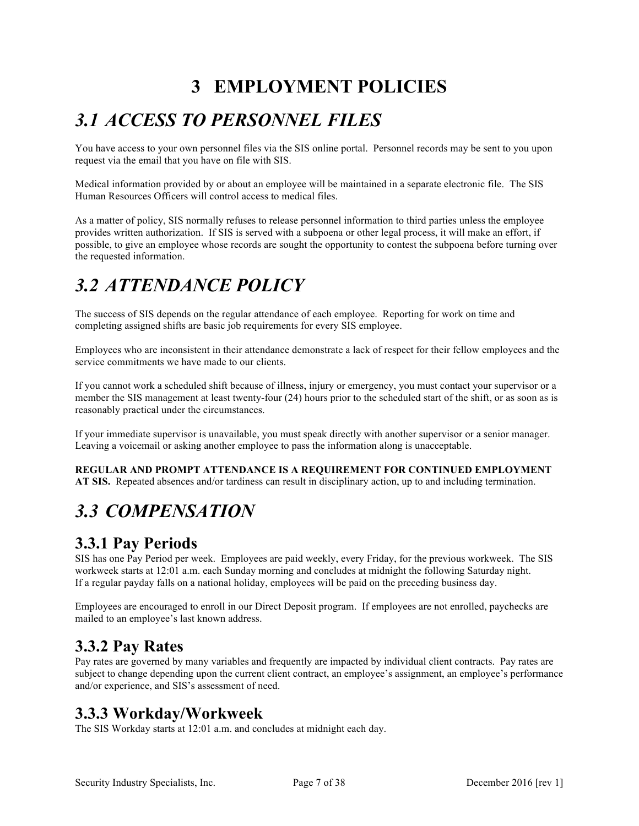### **3 EMPLOYMENT POLICIES**

# *3.1 ACCESS TO PERSONNEL FILES*

You have access to your own personnel files via the SIS online portal. Personnel records may be sent to you upon request via the email that you have on file with SIS.

Medical information provided by or about an employee will be maintained in a separate electronic file. The SIS Human Resources Officers will control access to medical files.

As a matter of policy, SIS normally refuses to release personnel information to third parties unless the employee provides written authorization. If SIS is served with a subpoena or other legal process, it will make an effort, if possible, to give an employee whose records are sought the opportunity to contest the subpoena before turning over the requested information.

### *3.2 ATTENDANCE POLICY*

The success of SIS depends on the regular attendance of each employee. Reporting for work on time and completing assigned shifts are basic job requirements for every SIS employee.

Employees who are inconsistent in their attendance demonstrate a lack of respect for their fellow employees and the service commitments we have made to our clients.

If you cannot work a scheduled shift because of illness, injury or emergency, you must contact your supervisor or a member the SIS management at least twenty-four (24) hours prior to the scheduled start of the shift, or as soon as is reasonably practical under the circumstances.

If your immediate supervisor is unavailable, you must speak directly with another supervisor or a senior manager. Leaving a voicemail or asking another employee to pass the information along is unacceptable.

**REGULAR AND PROMPT ATTENDANCE IS A REQUIREMENT FOR CONTINUED EMPLOYMENT AT SIS.** Repeated absences and/or tardiness can result in disciplinary action, up to and including termination.

## *3.3 COMPENSATION*

#### **3.3.1 Pay Periods**

SIS has one Pay Period per week. Employees are paid weekly, every Friday, for the previous workweek. The SIS workweek starts at 12:01 a.m. each Sunday morning and concludes at midnight the following Saturday night. If a regular payday falls on a national holiday, employees will be paid on the preceding business day.

Employees are encouraged to enroll in our Direct Deposit program. If employees are not enrolled, paychecks are mailed to an employee's last known address.

#### **3.3.2 Pay Rates**

Pay rates are governed by many variables and frequently are impacted by individual client contracts. Pay rates are subject to change depending upon the current client contract, an employee's assignment, an employee's performance and/or experience, and SIS's assessment of need.

#### **3.3.3 Workday/Workweek**

The SIS Workday starts at 12:01 a.m. and concludes at midnight each day.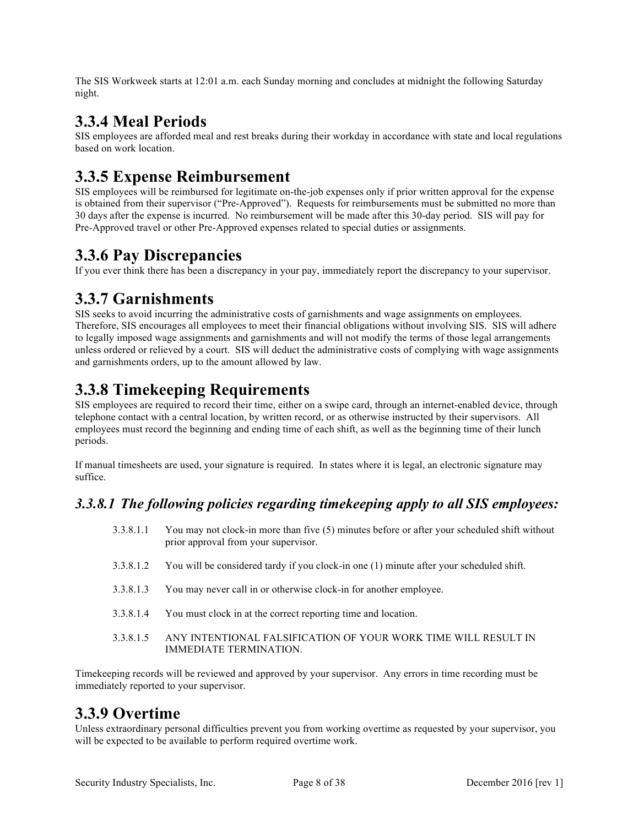The SIS Workweek starts at 12:01 a.m. each Sunday morning and concludes at midnight the following Saturday night.

#### **3.3.4 Meal Periods**

SIS employees are afforded meal and rest breaks during their workday in accordance with state and local regulations based on work location.

#### **3.3.5 Expense Reimbursement**

SIS employees will be reimbursed for legitimate on-the-job expenses only if prior written approval for the expense is obtained from their supervisor ("Pre-Approved"). Requests for reimbursements must be submitted no more than 30 days after the expense is incurred. No reimbursement will be made after this 30-day period. SIS will pay for Pre-Approved travel or other Pre-Approved expenses related to special duties or assignments.

### **3.3.6 Pay Discrepancies**

If you ever think there has been a discrepancy in your pay, immediately report the discrepancy to your supervisor.

#### **3.3.7 Garnishments**

SIS seeks to avoid incurring the administrative costs of garnishments and wage assignments on employees. Therefore, SIS encourages all employees to meet their financial obligations without involving SIS. SIS will adhere to legally imposed wage assignments and garnishments and will not modify the terms of those legal arrangements unless ordered or relieved by a court. SIS will deduct the administrative costs of complying with wage assignments and garnishments orders, up to the amount allowed by law.

### **3.3.8 Timekeeping Requirements**

SIS employees are required to record their time, either on a swipe card, through an internet-enabled device, through telephone contact with a central location, by written record, or as otherwise instructed by their supervisors. All employees must record the beginning and ending time of each shift, as well as the beginning time of their lunch periods.

If manual timesheets are used, your signature is required. In states where it is legal, an electronic signature may suffice.

#### *3.3.8.1 The following policies regarding timekeeping apply to all SIS employees:*

- 3.3.8.1.1 You may not clock-in more than five (5) minutes before or after your scheduled shift without prior approval from your supervisor.
- 3.3.8.1.2 You will be considered tardy if you clock-in one (1) minute after your scheduled shift.
- 3.3.8.1.3 You may never call in or otherwise clock-in for another employee.
- 3.3.8.1.4 You must clock in at the correct reporting time and location.
- 3.3.8.1.5 ANY INTENTIONAL FALSIFICATION OF YOUR WORK TIME WILL RESULT IN IMMEDIATE TERMINATION.

Timekeeping records will be reviewed and approved by your supervisor. Any errors in time recording must be immediately reported to your supervisor.

### **3.3.9 Overtime**

Unless extraordinary personal difficulties prevent you from working overtime as requested by your supervisor, you will be expected to be available to perform required overtime work.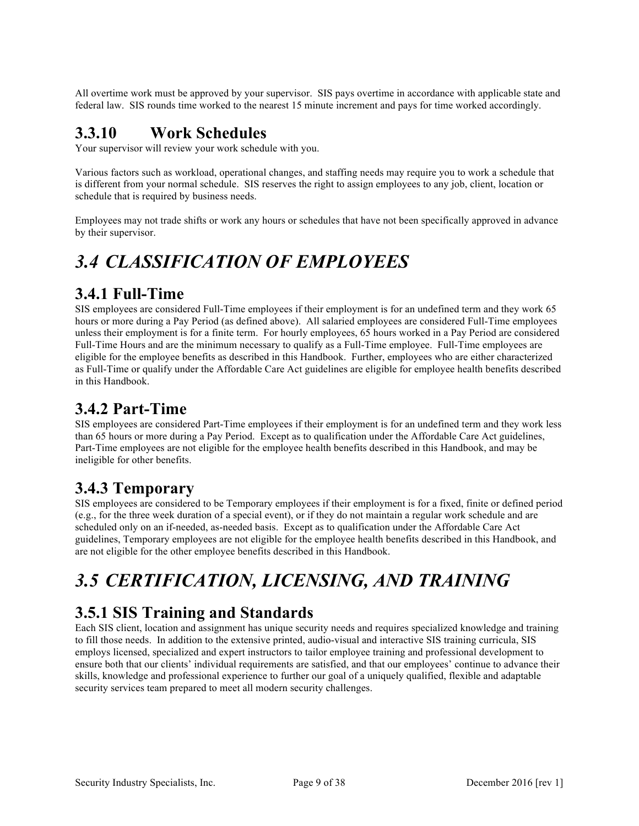All overtime work must be approved by your supervisor. SIS pays overtime in accordance with applicable state and federal law. SIS rounds time worked to the nearest 15 minute increment and pays for time worked accordingly.

#### **3.3.10 Work Schedules**

Your supervisor will review your work schedule with you.

Various factors such as workload, operational changes, and staffing needs may require you to work a schedule that is different from your normal schedule. SIS reserves the right to assign employees to any job, client, location or schedule that is required by business needs.

Employees may not trade shifts or work any hours or schedules that have not been specifically approved in advance by their supervisor.

### *3.4 CLASSIFICATION OF EMPLOYEES*

#### **3.4.1 Full-Time**

SIS employees are considered Full-Time employees if their employment is for an undefined term and they work 65 hours or more during a Pay Period (as defined above). All salaried employees are considered Full-Time employees unless their employment is for a finite term. For hourly employees, 65 hours worked in a Pay Period are considered Full-Time Hours and are the minimum necessary to qualify as a Full-Time employee. Full-Time employees are eligible for the employee benefits as described in this Handbook. Further, employees who are either characterized as Full-Time or qualify under the Affordable Care Act guidelines are eligible for employee health benefits described in this Handbook.

### **3.4.2 Part-Time**

SIS employees are considered Part-Time employees if their employment is for an undefined term and they work less than 65 hours or more during a Pay Period. Except as to qualification under the Affordable Care Act guidelines, Part-Time employees are not eligible for the employee health benefits described in this Handbook, and may be ineligible for other benefits.

#### **3.4.3 Temporary**

SIS employees are considered to be Temporary employees if their employment is for a fixed, finite or defined period (e.g., for the three week duration of a special event), or if they do not maintain a regular work schedule and are scheduled only on an if-needed, as-needed basis. Except as to qualification under the Affordable Care Act guidelines, Temporary employees are not eligible for the employee health benefits described in this Handbook, and are not eligible for the other employee benefits described in this Handbook.

# *3.5 CERTIFICATION, LICENSING, AND TRAINING*

### **3.5.1 SIS Training and Standards**

Each SIS client, location and assignment has unique security needs and requires specialized knowledge and training to fill those needs. In addition to the extensive printed, audio-visual and interactive SIS training curricula, SIS employs licensed, specialized and expert instructors to tailor employee training and professional development to ensure both that our clients' individual requirements are satisfied, and that our employees' continue to advance their skills, knowledge and professional experience to further our goal of a uniquely qualified, flexible and adaptable security services team prepared to meet all modern security challenges.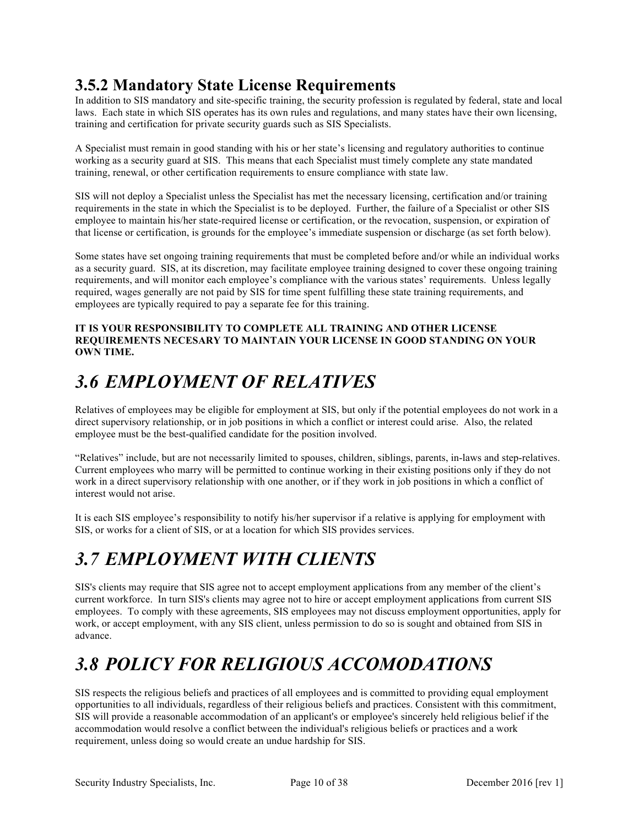### **3.5.2 Mandatory State License Requirements**

In addition to SIS mandatory and site-specific training, the security profession is regulated by federal, state and local laws. Each state in which SIS operates has its own rules and regulations, and many states have their own licensing, training and certification for private security guards such as SIS Specialists.

A Specialist must remain in good standing with his or her state's licensing and regulatory authorities to continue working as a security guard at SIS. This means that each Specialist must timely complete any state mandated training, renewal, or other certification requirements to ensure compliance with state law.

SIS will not deploy a Specialist unless the Specialist has met the necessary licensing, certification and/or training requirements in the state in which the Specialist is to be deployed. Further, the failure of a Specialist or other SIS employee to maintain his/her state-required license or certification, or the revocation, suspension, or expiration of that license or certification, is grounds for the employee's immediate suspension or discharge (as set forth below).

Some states have set ongoing training requirements that must be completed before and/or while an individual works as a security guard. SIS, at its discretion, may facilitate employee training designed to cover these ongoing training requirements, and will monitor each employee's compliance with the various states' requirements. Unless legally required, wages generally are not paid by SIS for time spent fulfilling these state training requirements, and employees are typically required to pay a separate fee for this training.

#### **IT IS YOUR RESPONSIBILITY TO COMPLETE ALL TRAINING AND OTHER LICENSE REQUIREMENTS NECESARY TO MAINTAIN YOUR LICENSE IN GOOD STANDING ON YOUR OWN TIME.**

## *3.6 EMPLOYMENT OF RELATIVES*

Relatives of employees may be eligible for employment at SIS, but only if the potential employees do not work in a direct supervisory relationship, or in job positions in which a conflict or interest could arise. Also, the related employee must be the best-qualified candidate for the position involved.

"Relatives" include, but are not necessarily limited to spouses, children, siblings, parents, in-laws and step-relatives. Current employees who marry will be permitted to continue working in their existing positions only if they do not work in a direct supervisory relationship with one another, or if they work in job positions in which a conflict of interest would not arise.

It is each SIS employee's responsibility to notify his/her supervisor if a relative is applying for employment with SIS, or works for a client of SIS, or at a location for which SIS provides services.

## *3.7 EMPLOYMENT WITH CLIENTS*

SIS's clients may require that SIS agree not to accept employment applications from any member of the client's current workforce. In turn SIS's clients may agree not to hire or accept employment applications from current SIS employees. To comply with these agreements, SIS employees may not discuss employment opportunities, apply for work, or accept employment, with any SIS client, unless permission to do so is sought and obtained from SIS in advance.

## *3.8 POLICY FOR RELIGIOUS ACCOMODATIONS*

SIS respects the religious beliefs and practices of all employees and is committed to providing equal employment opportunities to all individuals, regardless of their religious beliefs and practices. Consistent with this commitment, SIS will provide a reasonable accommodation of an applicant's or employee's sincerely held religious belief if the accommodation would resolve a conflict between the individual's religious beliefs or practices and a work requirement, unless doing so would create an undue hardship for SIS.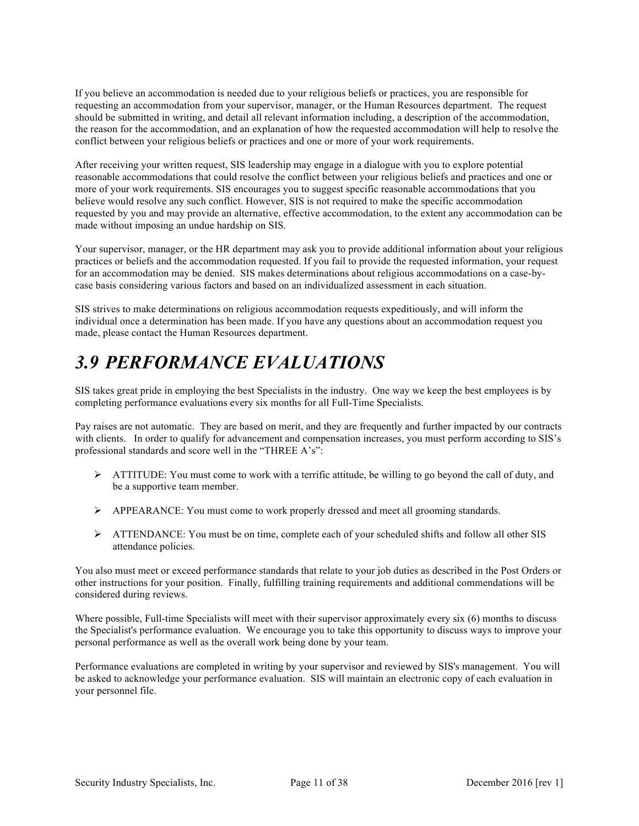If you believe an accommodation is needed due to your religious beliefs or practices, you are responsible for requesting an accommodation from your supervisor, manager, or the Human Resources department. The request should be submitted in writing, and detail all relevant information including, a description of the accommodation, the reason for the accommodation, and an explanation of how the requested accommodation will help to resolve the conflict between your religious beliefs or practices and one or more of your work requirements.

After receiving your written request, SIS leadership may engage in a dialogue with you to explore potential reasonable accommodations that could resolve the conflict between your religious beliefs and practices and one or more of your work requirements. SIS encourages you to suggest specific reasonable accommodations that you believe would resolve any such conflict. However, SIS is not required to make the specific accommodation requested by you and may provide an alternative, effective accommodation, to the extent any accommodation can be made without imposing an undue hardship on SIS.

Your supervisor, manager, or the HR department may ask you to provide additional information about your religious practices or beliefs and the accommodation requested. If you fail to provide the requested information, your request for an accommodation may be denied. SIS makes determinations about religious accommodations on a case-bycase basis considering various factors and based on an individualized assessment in each situation.

SIS strives to make determinations on religious accommodation requests expeditiously, and will inform the individual once a determination has been made. If you have any questions about an accommodation request you made, please contact the Human Resources department.

### *3.9 PERFORMANCE EVALUATIONS*

SIS takes great pride in employing the best Specialists in the industry. One way we keep the best employees is by completing performance evaluations every six months for all Full-Time Specialists.

Pay raises are not automatic. They are based on merit, and they are frequently and further impacted by our contracts with clients. In order to qualify for advancement and compensation increases, you must perform according to SIS's professional standards and score well in the "THREE A's":

- $\triangleright$  ATTITUDE: You must come to work with a terrific attitude, be willing to go beyond the call of duty, and be a supportive team member.
- $\triangleright$  APPEARANCE: You must come to work properly dressed and meet all grooming standards.
- $\triangleright$  ATTENDANCE: You must be on time, complete each of your scheduled shifts and follow all other SIS attendance policies.

You also must meet or exceed performance standards that relate to your job duties as described in the Post Orders or other instructions for your position. Finally, fulfilling training requirements and additional commendations will be considered during reviews.

Where possible, Full-time Specialists will meet with their supervisor approximately every six (6) months to discuss the Specialist's performance evaluation. We encourage you to take this opportunity to discuss ways to improve your personal performance as well as the overall work being done by your team.

Performance evaluations are completed in writing by your supervisor and reviewed by SIS's management. You will be asked to acknowledge your performance evaluation. SIS will maintain an electronic copy of each evaluation in your personnel file.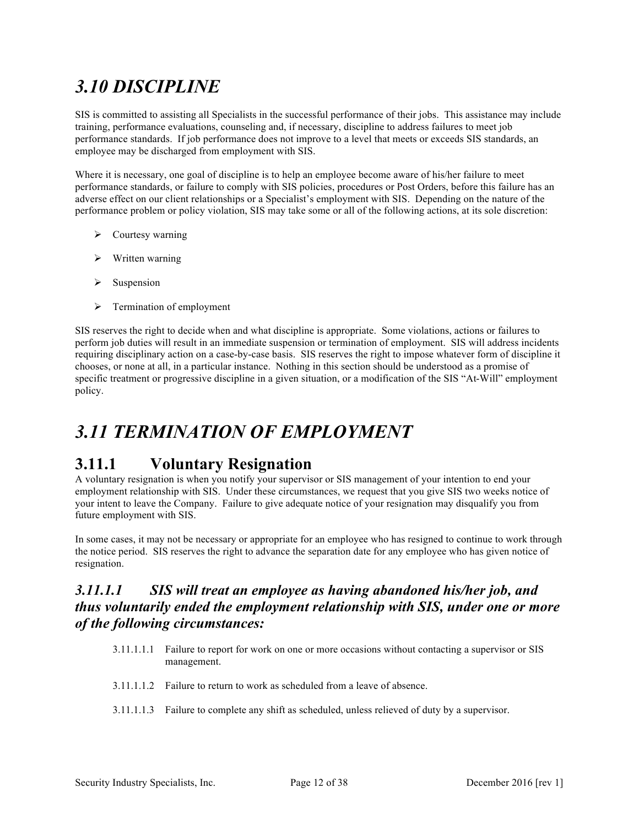## *3.10 DISCIPLINE*

SIS is committed to assisting all Specialists in the successful performance of their jobs. This assistance may include training, performance evaluations, counseling and, if necessary, discipline to address failures to meet job performance standards. If job performance does not improve to a level that meets or exceeds SIS standards, an employee may be discharged from employment with SIS.

Where it is necessary, one goal of discipline is to help an employee become aware of his/her failure to meet performance standards, or failure to comply with SIS policies, procedures or Post Orders, before this failure has an adverse effect on our client relationships or a Specialist's employment with SIS. Depending on the nature of the performance problem or policy violation, SIS may take some or all of the following actions, at its sole discretion:

- $\triangleright$  Courtesy warning
- $\triangleright$  Written warning
- $\triangleright$  Suspension
- $\triangleright$  Termination of employment

SIS reserves the right to decide when and what discipline is appropriate. Some violations, actions or failures to perform job duties will result in an immediate suspension or termination of employment. SIS will address incidents requiring disciplinary action on a case-by-case basis. SIS reserves the right to impose whatever form of discipline it chooses, or none at all, in a particular instance. Nothing in this section should be understood as a promise of specific treatment or progressive discipline in a given situation, or a modification of the SIS "At-Will" employment policy.

### *3.11 TERMINATION OF EMPLOYMENT*

#### **3.11.1 Voluntary Resignation**

A voluntary resignation is when you notify your supervisor or SIS management of your intention to end your employment relationship with SIS. Under these circumstances, we request that you give SIS two weeks notice of your intent to leave the Company. Failure to give adequate notice of your resignation may disqualify you from future employment with SIS.

In some cases, it may not be necessary or appropriate for an employee who has resigned to continue to work through the notice period. SIS reserves the right to advance the separation date for any employee who has given notice of resignation.

#### *3.11.1.1 SIS will treat an employee as having abandoned his/her job, and thus voluntarily ended the employment relationship with SIS, under one or more of the following circumstances:*

- 3.11.1.1.1 Failure to report for work on one or more occasions without contacting a supervisor or SIS management.
- 3.11.1.1.2 Failure to return to work as scheduled from a leave of absence.
- 3.11.1.1.3 Failure to complete any shift as scheduled, unless relieved of duty by a supervisor.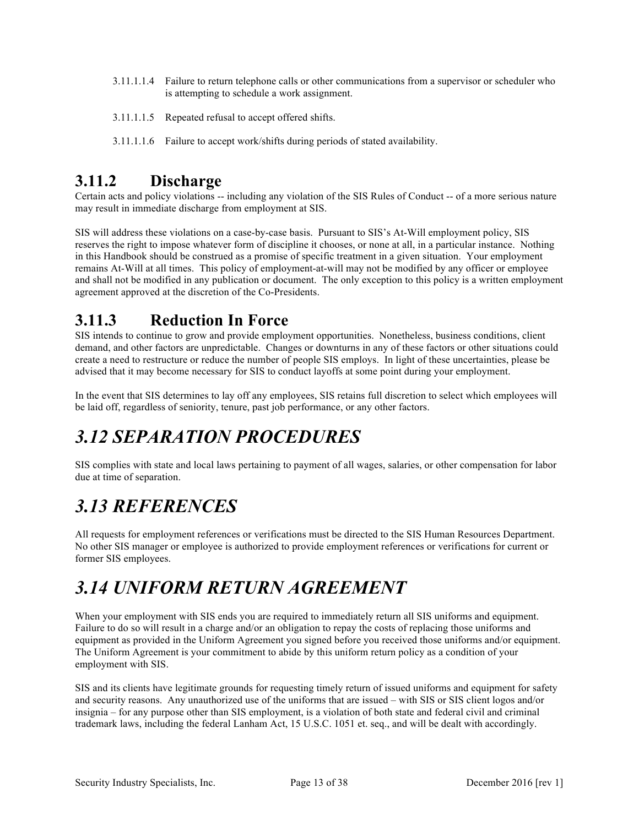- 3.11.1.1.4 Failure to return telephone calls or other communications from a supervisor or scheduler who is attempting to schedule a work assignment.
- 3.11.1.1.5 Repeated refusal to accept offered shifts.
- 3.11.1.1.6 Failure to accept work/shifts during periods of stated availability.

#### **3.11.2 Discharge**

Certain acts and policy violations -- including any violation of the SIS Rules of Conduct -- of a more serious nature may result in immediate discharge from employment at SIS.

SIS will address these violations on a case-by-case basis. Pursuant to SIS's At-Will employment policy, SIS reserves the right to impose whatever form of discipline it chooses, or none at all, in a particular instance. Nothing in this Handbook should be construed as a promise of specific treatment in a given situation. Your employment remains At-Will at all times. This policy of employment-at-will may not be modified by any officer or employee and shall not be modified in any publication or document. The only exception to this policy is a written employment agreement approved at the discretion of the Co-Presidents.

#### **3.11.3 Reduction In Force**

SIS intends to continue to grow and provide employment opportunities. Nonetheless, business conditions, client demand, and other factors are unpredictable. Changes or downturns in any of these factors or other situations could create a need to restructure or reduce the number of people SIS employs. In light of these uncertainties, please be advised that it may become necessary for SIS to conduct layoffs at some point during your employment.

In the event that SIS determines to lay off any employees, SIS retains full discretion to select which employees will be laid off, regardless of seniority, tenure, past job performance, or any other factors.

### *3.12 SEPARATION PROCEDURES*

SIS complies with state and local laws pertaining to payment of all wages, salaries, or other compensation for labor due at time of separation.

### *3.13 REFERENCES*

All requests for employment references or verifications must be directed to the SIS Human Resources Department. No other SIS manager or employee is authorized to provide employment references or verifications for current or former SIS employees.

### *3.14 UNIFORM RETURN AGREEMENT*

When your employment with SIS ends you are required to immediately return all SIS uniforms and equipment. Failure to do so will result in a charge and/or an obligation to repay the costs of replacing those uniforms and equipment as provided in the Uniform Agreement you signed before you received those uniforms and/or equipment. The Uniform Agreement is your commitment to abide by this uniform return policy as a condition of your employment with SIS.

SIS and its clients have legitimate grounds for requesting timely return of issued uniforms and equipment for safety and security reasons. Any unauthorized use of the uniforms that are issued – with SIS or SIS client logos and/or insignia – for any purpose other than SIS employment, is a violation of both state and federal civil and criminal trademark laws, including the federal Lanham Act, 15 U.S.C. 1051 et. seq., and will be dealt with accordingly.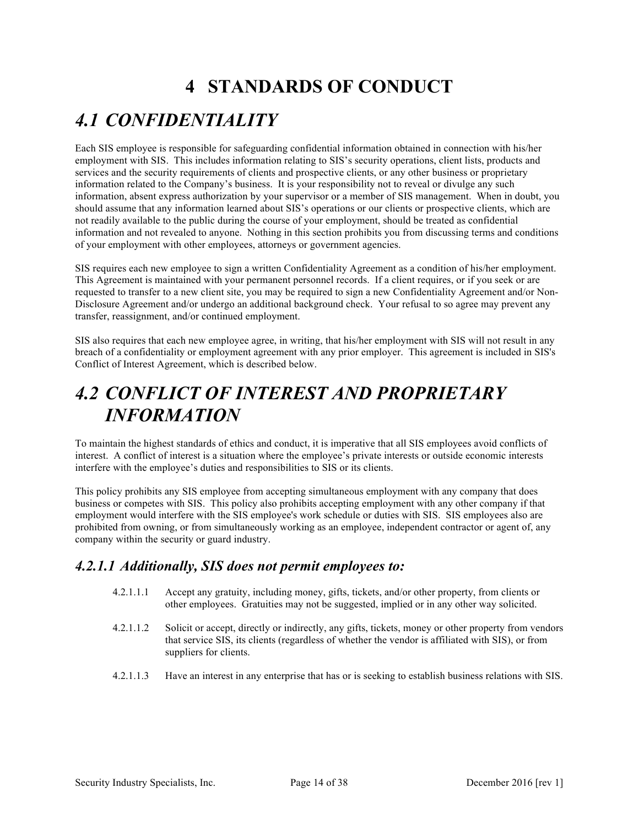## **4 STANDARDS OF CONDUCT**

### *4.1 CONFIDENTIALITY*

Each SIS employee is responsible for safeguarding confidential information obtained in connection with his/her employment with SIS. This includes information relating to SIS's security operations, client lists, products and services and the security requirements of clients and prospective clients, or any other business or proprietary information related to the Company's business. It is your responsibility not to reveal or divulge any such information, absent express authorization by your supervisor or a member of SIS management. When in doubt, you should assume that any information learned about SIS's operations or our clients or prospective clients, which are not readily available to the public during the course of your employment, should be treated as confidential information and not revealed to anyone. Nothing in this section prohibits you from discussing terms and conditions of your employment with other employees, attorneys or government agencies.

SIS requires each new employee to sign a written Confidentiality Agreement as a condition of his/her employment. This Agreement is maintained with your permanent personnel records. If a client requires, or if you seek or are requested to transfer to a new client site, you may be required to sign a new Confidentiality Agreement and/or Non-Disclosure Agreement and/or undergo an additional background check. Your refusal to so agree may prevent any transfer, reassignment, and/or continued employment.

SIS also requires that each new employee agree, in writing, that his/her employment with SIS will not result in any breach of a confidentiality or employment agreement with any prior employer. This agreement is included in SIS's Conflict of Interest Agreement, which is described below.

### *4.2 CONFLICT OF INTEREST AND PROPRIETARY INFORMATION*

To maintain the highest standards of ethics and conduct, it is imperative that all SIS employees avoid conflicts of interest. A conflict of interest is a situation where the employee's private interests or outside economic interests interfere with the employee's duties and responsibilities to SIS or its clients.

This policy prohibits any SIS employee from accepting simultaneous employment with any company that does business or competes with SIS. This policy also prohibits accepting employment with any other company if that employment would interfere with the SIS employee's work schedule or duties with SIS. SIS employees also are prohibited from owning, or from simultaneously working as an employee, independent contractor or agent of, any company within the security or guard industry.

#### *4.2.1.1 Additionally, SIS does not permit employees to:*

- 4.2.1.1.1 Accept any gratuity, including money, gifts, tickets, and/or other property, from clients or other employees. Gratuities may not be suggested, implied or in any other way solicited.
- 4.2.1.1.2 Solicit or accept, directly or indirectly, any gifts, tickets, money or other property from vendors that service SIS, its clients (regardless of whether the vendor is affiliated with SIS), or from suppliers for clients.
- 4.2.1.1.3 Have an interest in any enterprise that has or is seeking to establish business relations with SIS.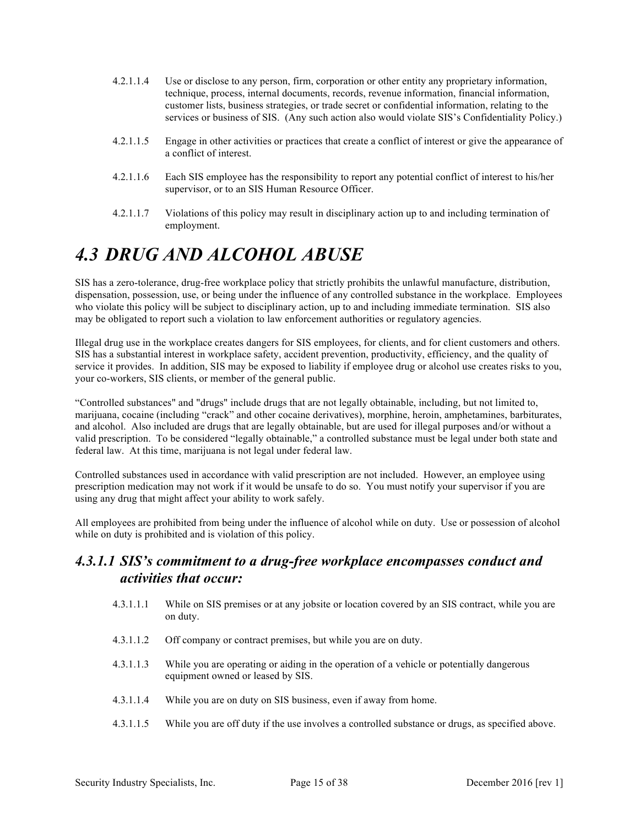- 4.2.1.1.4 Use or disclose to any person, firm, corporation or other entity any proprietary information, technique, process, internal documents, records, revenue information, financial information, customer lists, business strategies, or trade secret or confidential information, relating to the services or business of SIS. (Any such action also would violate SIS's Confidentiality Policy.)
- 4.2.1.1.5 Engage in other activities or practices that create a conflict of interest or give the appearance of a conflict of interest.
- 4.2.1.1.6 Each SIS employee has the responsibility to report any potential conflict of interest to his/her supervisor, or to an SIS Human Resource Officer.
- 4.2.1.1.7 Violations of this policy may result in disciplinary action up to and including termination of employment.

### *4.3 DRUG AND ALCOHOL ABUSE*

SIS has a zero-tolerance, drug-free workplace policy that strictly prohibits the unlawful manufacture, distribution, dispensation, possession, use, or being under the influence of any controlled substance in the workplace. Employees who violate this policy will be subject to disciplinary action, up to and including immediate termination. SIS also may be obligated to report such a violation to law enforcement authorities or regulatory agencies.

Illegal drug use in the workplace creates dangers for SIS employees, for clients, and for client customers and others. SIS has a substantial interest in workplace safety, accident prevention, productivity, efficiency, and the quality of service it provides. In addition, SIS may be exposed to liability if employee drug or alcohol use creates risks to you, your co-workers, SIS clients, or member of the general public.

"Controlled substances" and "drugs" include drugs that are not legally obtainable, including, but not limited to, marijuana, cocaine (including "crack" and other cocaine derivatives), morphine, heroin, amphetamines, barbiturates, and alcohol. Also included are drugs that are legally obtainable, but are used for illegal purposes and/or without a valid prescription. To be considered "legally obtainable," a controlled substance must be legal under both state and federal law. At this time, marijuana is not legal under federal law.

Controlled substances used in accordance with valid prescription are not included. However, an employee using prescription medication may not work if it would be unsafe to do so. You must notify your supervisor if you are using any drug that might affect your ability to work safely.

All employees are prohibited from being under the influence of alcohol while on duty. Use or possession of alcohol while on duty is prohibited and is violation of this policy.

#### *4.3.1.1 SIS's commitment to a drug-free workplace encompasses conduct and activities that occur:*

- 4.3.1.1.1 While on SIS premises or at any jobsite or location covered by an SIS contract, while you are on duty.
- 4.3.1.1.2 Off company or contract premises, but while you are on duty.
- 4.3.1.1.3 While you are operating or aiding in the operation of a vehicle or potentially dangerous equipment owned or leased by SIS.
- 4.3.1.1.4 While you are on duty on SIS business, even if away from home.
- 4.3.1.1.5 While you are off duty if the use involves a controlled substance or drugs, as specified above.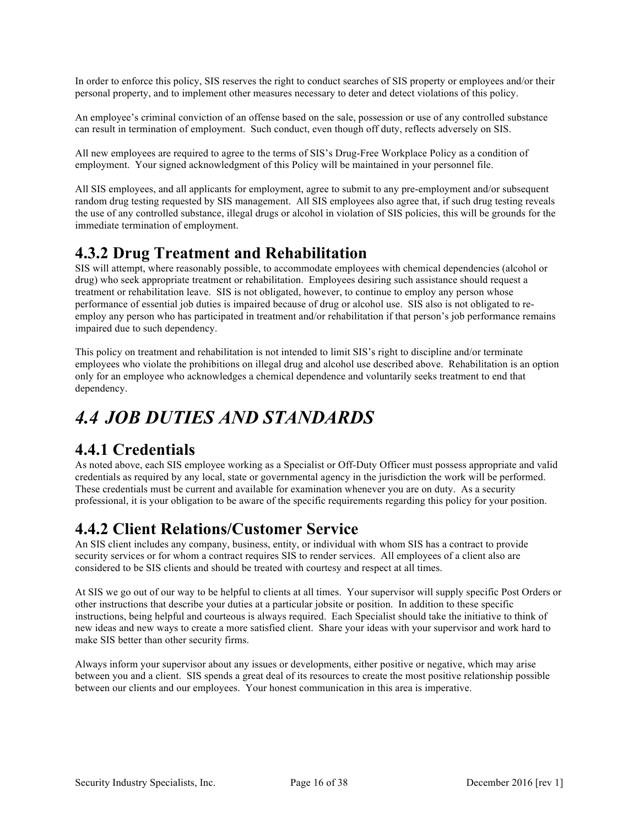In order to enforce this policy, SIS reserves the right to conduct searches of SIS property or employees and/or their personal property, and to implement other measures necessary to deter and detect violations of this policy.

An employee's criminal conviction of an offense based on the sale, possession or use of any controlled substance can result in termination of employment. Such conduct, even though off duty, reflects adversely on SIS.

All new employees are required to agree to the terms of SIS's Drug-Free Workplace Policy as a condition of employment. Your signed acknowledgment of this Policy will be maintained in your personnel file.

All SIS employees, and all applicants for employment, agree to submit to any pre-employment and/or subsequent random drug testing requested by SIS management. All SIS employees also agree that, if such drug testing reveals the use of any controlled substance, illegal drugs or alcohol in violation of SIS policies, this will be grounds for the immediate termination of employment.

#### **4.3.2 Drug Treatment and Rehabilitation**

SIS will attempt, where reasonably possible, to accommodate employees with chemical dependencies (alcohol or drug) who seek appropriate treatment or rehabilitation. Employees desiring such assistance should request a treatment or rehabilitation leave. SIS is not obligated, however, to continue to employ any person whose performance of essential job duties is impaired because of drug or alcohol use. SIS also is not obligated to reemploy any person who has participated in treatment and/or rehabilitation if that person's job performance remains impaired due to such dependency.

This policy on treatment and rehabilitation is not intended to limit SIS's right to discipline and/or terminate employees who violate the prohibitions on illegal drug and alcohol use described above. Rehabilitation is an option only for an employee who acknowledges a chemical dependence and voluntarily seeks treatment to end that dependency.

### *4.4 JOB DUTIES AND STANDARDS*

#### **4.4.1 Credentials**

As noted above, each SIS employee working as a Specialist or Off-Duty Officer must possess appropriate and valid credentials as required by any local, state or governmental agency in the jurisdiction the work will be performed. These credentials must be current and available for examination whenever you are on duty. As a security professional, it is your obligation to be aware of the specific requirements regarding this policy for your position.

#### **4.4.2 Client Relations/Customer Service**

An SIS client includes any company, business, entity, or individual with whom SIS has a contract to provide security services or for whom a contract requires SIS to render services. All employees of a client also are considered to be SIS clients and should be treated with courtesy and respect at all times.

At SIS we go out of our way to be helpful to clients at all times. Your supervisor will supply specific Post Orders or other instructions that describe your duties at a particular jobsite or position. In addition to these specific instructions, being helpful and courteous is always required. Each Specialist should take the initiative to think of new ideas and new ways to create a more satisfied client. Share your ideas with your supervisor and work hard to make SIS better than other security firms.

Always inform your supervisor about any issues or developments, either positive or negative, which may arise between you and a client. SIS spends a great deal of its resources to create the most positive relationship possible between our clients and our employees. Your honest communication in this area is imperative.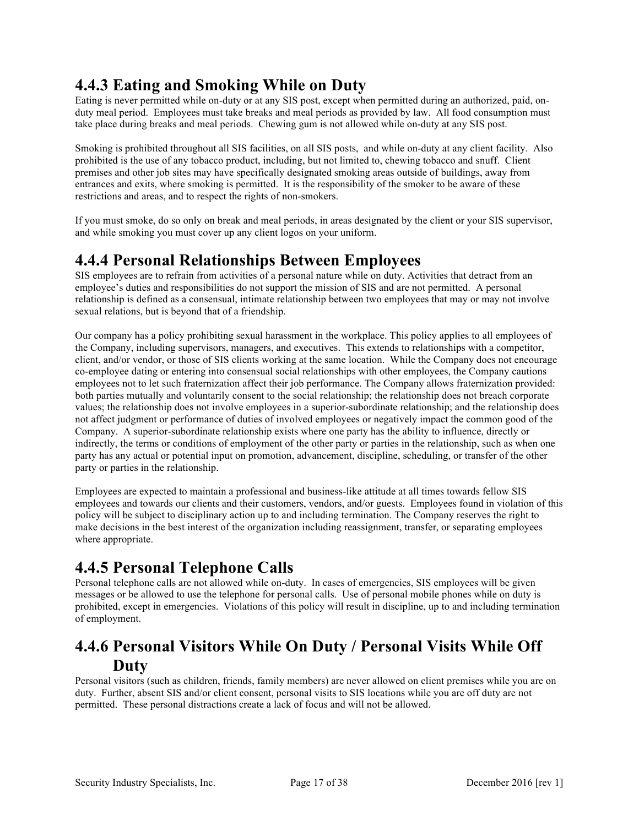### **4.4.3 Eating and Smoking While on Duty**

Eating is never permitted while on-duty or at any SIS post, except when permitted during an authorized, paid, onduty meal period. Employees must take breaks and meal periods as provided by law. All food consumption must take place during breaks and meal periods. Chewing gum is not allowed while on-duty at any SIS post.

Smoking is prohibited throughout all SIS facilities, on all SIS posts, and while on-duty at any client facility. Also prohibited is the use of any tobacco product, including, but not limited to, chewing tobacco and snuff. Client premises and other job sites may have specifically designated smoking areas outside of buildings, away from entrances and exits, where smoking is permitted. It is the responsibility of the smoker to be aware of these restrictions and areas, and to respect the rights of non-smokers.

If you must smoke, do so only on break and meal periods, in areas designated by the client or your SIS supervisor, and while smoking you must cover up any client logos on your uniform.

#### **4.4.4 Personal Relationships Between Employees**

SIS employees are to refrain from activities of a personal nature while on duty. Activities that detract from an employee's duties and responsibilities do not support the mission of SIS and are not permitted. A personal relationship is defined as a consensual, intimate relationship between two employees that may or may not involve sexual relations, but is beyond that of a friendship.

Our company has a policy prohibiting sexual harassment in the workplace. This policy applies to all employees of the Company, including supervisors, managers, and executives. This extends to relationships with a competitor, client, and/or vendor, or those of SIS clients working at the same location. While the Company does not encourage co-employee dating or entering into consensual social relationships with other employees, the Company cautions employees not to let such fraternization affect their job performance. The Company allows fraternization provided: both parties mutually and voluntarily consent to the social relationship; the relationship does not breach corporate values; the relationship does not involve employees in a superior-subordinate relationship; and the relationship does not affect judgment or performance of duties of involved employees or negatively impact the common good of the Company. A superior-subordinate relationship exists where one party has the ability to influence, directly or indirectly, the terms or conditions of employment of the other party or parties in the relationship, such as when one party has any actual or potential input on promotion, advancement, discipline, scheduling, or transfer of the other party or parties in the relationship.

Employees are expected to maintain a professional and business-like attitude at all times towards fellow SIS employees and towards our clients and their customers, vendors, and/or guests. Employees found in violation of this policy will be subject to disciplinary action up to and including termination. The Company reserves the right to make decisions in the best interest of the organization including reassignment, transfer, or separating employees where appropriate.

#### **4.4.5 Personal Telephone Calls**

Personal telephone calls are not allowed while on-duty. In cases of emergencies, SIS employees will be given messages or be allowed to use the telephone for personal calls. Use of personal mobile phones while on duty is prohibited, except in emergencies. Violations of this policy will result in discipline, up to and including termination of employment.

#### **4.4.6 Personal Visitors While On Duty / Personal Visits While Off Duty**

Personal visitors (such as children, friends, family members) are never allowed on client premises while you are on duty. Further, absent SIS and/or client consent, personal visits to SIS locations while you are off duty are not permitted. These personal distractions create a lack of focus and will not be allowed.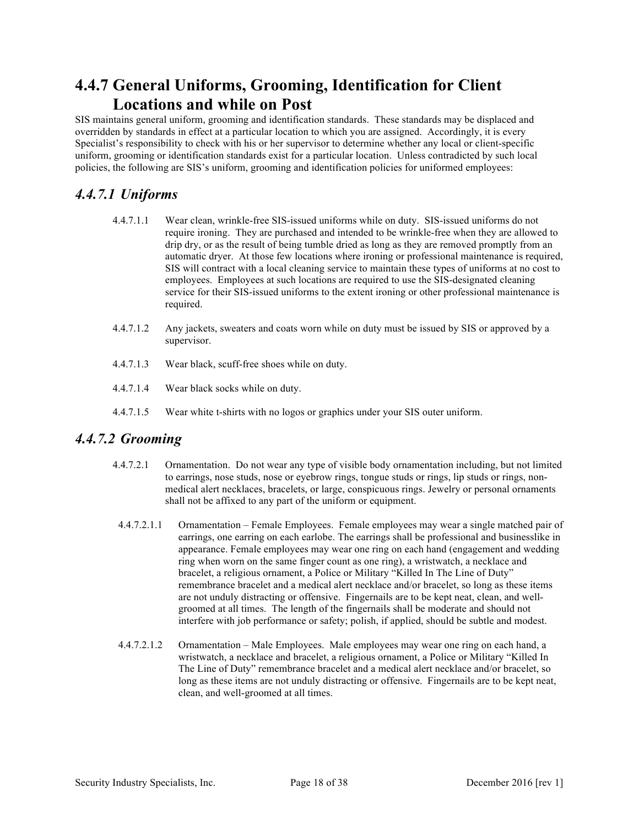#### **4.4.7 General Uniforms, Grooming, Identification for Client Locations and while on Post**

SIS maintains general uniform, grooming and identification standards. These standards may be displaced and overridden by standards in effect at a particular location to which you are assigned. Accordingly, it is every Specialist's responsibility to check with his or her supervisor to determine whether any local or client-specific uniform, grooming or identification standards exist for a particular location. Unless contradicted by such local policies, the following are SIS's uniform, grooming and identification policies for uniformed employees:

#### *4.4.7.1 Uniforms*

- 4.4.7.1.1 Wear clean, wrinkle-free SIS-issued uniforms while on duty. SIS-issued uniforms do not require ironing. They are purchased and intended to be wrinkle-free when they are allowed to drip dry, or as the result of being tumble dried as long as they are removed promptly from an automatic dryer. At those few locations where ironing or professional maintenance is required, SIS will contract with a local cleaning service to maintain these types of uniforms at no cost to employees. Employees at such locations are required to use the SIS-designated cleaning service for their SIS-issued uniforms to the extent ironing or other professional maintenance is required.
- 4.4.7.1.2 Any jackets, sweaters and coats worn while on duty must be issued by SIS or approved by a supervisor.
- 4.4.7.1.3 Wear black, scuff-free shoes while on duty.
- 4.4.7.1.4 Wear black socks while on duty.
- 4.4.7.1.5 Wear white t-shirts with no logos or graphics under your SIS outer uniform.

#### *4.4.7.2 Grooming*

- 4.4.7.2.1 Ornamentation. Do not wear any type of visible body ornamentation including, but not limited to earrings, nose studs, nose or eyebrow rings, tongue studs or rings, lip studs or rings, nonmedical alert necklaces, bracelets, or large, conspicuous rings. Jewelry or personal ornaments shall not be affixed to any part of the uniform or equipment.
- 4.4.7.2.1.1 Ornamentation Female Employees. Female employees may wear a single matched pair of earrings, one earring on each earlobe. The earrings shall be professional and businesslike in appearance. Female employees may wear one ring on each hand (engagement and wedding ring when worn on the same finger count as one ring), a wristwatch, a necklace and bracelet, a religious ornament, a Police or Military "Killed In The Line of Duty" remembrance bracelet and a medical alert necklace and/or bracelet, so long as these items are not unduly distracting or offensive. Fingernails are to be kept neat, clean, and wellgroomed at all times. The length of the fingernails shall be moderate and should not interfere with job performance or safety; polish, if applied, should be subtle and modest.
- 4.4.7.2.1.2 Ornamentation Male Employees. Male employees may wear one ring on each hand, a wristwatch, a necklace and bracelet, a religious ornament, a Police or Military "Killed In The Line of Duty" remembrance bracelet and a medical alert necklace and/or bracelet, so long as these items are not unduly distracting or offensive. Fingernails are to be kept neat, clean, and well-groomed at all times.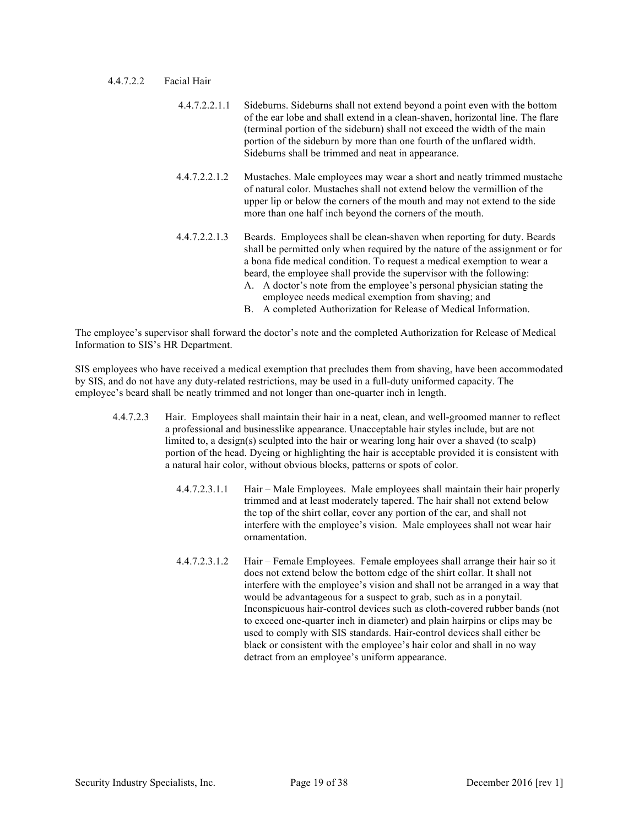#### 4.4.7.2.2 Facial Hair

- 4.4.7.2.2.1.1 Sideburns. Sideburns shall not extend beyond a point even with the bottom of the ear lobe and shall extend in a clean-shaven, horizontal line. The flare (terminal portion of the sideburn) shall not exceed the width of the main portion of the sideburn by more than one fourth of the unflared width. Sideburns shall be trimmed and neat in appearance.
- 4.4.7.2.2.1.2 Mustaches. Male employees may wear a short and neatly trimmed mustache of natural color. Mustaches shall not extend below the vermillion of the upper lip or below the corners of the mouth and may not extend to the side more than one half inch beyond the corners of the mouth.
- 4.4.7.2.2.1.3 Beards. Employees shall be clean-shaven when reporting for duty. Beards shall be permitted only when required by the nature of the assignment or for a bona fide medical condition. To request a medical exemption to wear a beard, the employee shall provide the supervisor with the following: A. A doctor's note from the employee's personal physician stating the
	- employee needs medical exemption from shaving; and
	- B. A completed Authorization for Release of Medical Information.

The employee's supervisor shall forward the doctor's note and the completed Authorization for Release of Medical Information to SIS's HR Department.

SIS employees who have received a medical exemption that precludes them from shaving, have been accommodated by SIS, and do not have any duty-related restrictions, may be used in a full-duty uniformed capacity. The employee's beard shall be neatly trimmed and not longer than one-quarter inch in length.

- 4.4.7.2.3 Hair. Employees shall maintain their hair in a neat, clean, and well-groomed manner to reflect a professional and businesslike appearance. Unacceptable hair styles include, but are not limited to, a design(s) sculpted into the hair or wearing long hair over a shaved (to scalp) portion of the head. Dyeing or highlighting the hair is acceptable provided it is consistent with a natural hair color, without obvious blocks, patterns or spots of color.
	- 4.4.7.2.3.1.1 Hair Male Employees. Male employees shall maintain their hair properly trimmed and at least moderately tapered. The hair shall not extend below the top of the shirt collar, cover any portion of the ear, and shall not interfere with the employee's vision. Male employees shall not wear hair ornamentation.
	- 4.4.7.2.3.1.2 Hair Female Employees. Female employees shall arrange their hair so it does not extend below the bottom edge of the shirt collar. It shall not interfere with the employee's vision and shall not be arranged in a way that would be advantageous for a suspect to grab, such as in a ponytail. Inconspicuous hair-control devices such as cloth-covered rubber bands (not to exceed one-quarter inch in diameter) and plain hairpins or clips may be used to comply with SIS standards. Hair-control devices shall either be black or consistent with the employee's hair color and shall in no way detract from an employee's uniform appearance.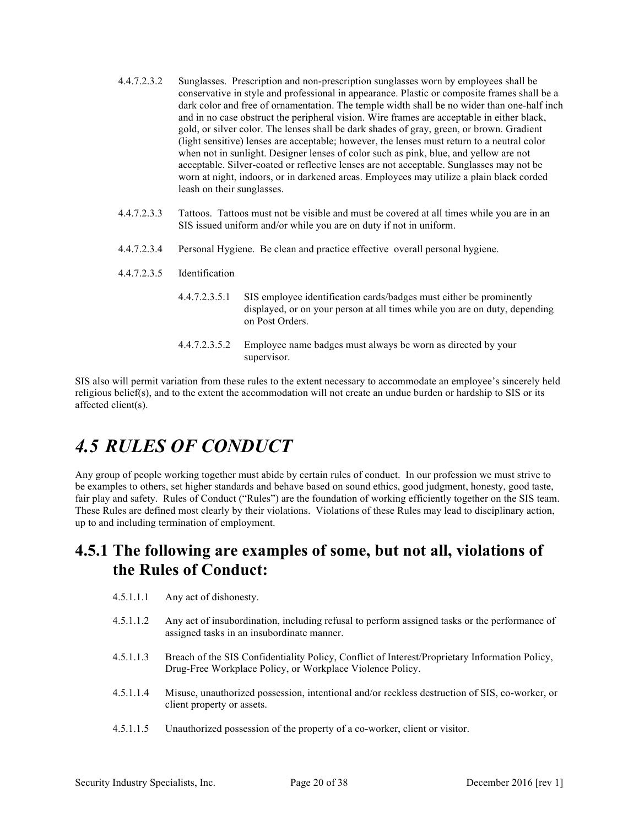- 4.4.7.2.3.2 Sunglasses. Prescription and non-prescription sunglasses worn by employees shall be conservative in style and professional in appearance. Plastic or composite frames shall be a dark color and free of ornamentation. The temple width shall be no wider than one-half inch and in no case obstruct the peripheral vision. Wire frames are acceptable in either black, gold, or silver color. The lenses shall be dark shades of gray, green, or brown. Gradient (light sensitive) lenses are acceptable; however, the lenses must return to a neutral color when not in sunlight. Designer lenses of color such as pink, blue, and yellow are not acceptable. Silver-coated or reflective lenses are not acceptable. Sunglasses may not be worn at night, indoors, or in darkened areas. Employees may utilize a plain black corded leash on their sunglasses.
- 4.4.7.2.3.3 Tattoos. Tattoos must not be visible and must be covered at all times while you are in an SIS issued uniform and/or while you are on duty if not in uniform.
- 4.4.7.2.3.4 Personal Hygiene. Be clean and practice effective overall personal hygiene.
- 4.4.7.2.3.5 Identification
	- 4.4.7.2.3.5.1 SIS employee identification cards/badges must either be prominently displayed, or on your person at all times while you are on duty, depending on Post Orders.
	- 4.4.7.2.3.5.2 Employee name badges must always be worn as directed by your supervisor.

SIS also will permit variation from these rules to the extent necessary to accommodate an employee's sincerely held religious belief(s), and to the extent the accommodation will not create an undue burden or hardship to SIS or its affected client(s).

### *4.5 RULES OF CONDUCT*

Any group of people working together must abide by certain rules of conduct. In our profession we must strive to be examples to others, set higher standards and behave based on sound ethics, good judgment, honesty, good taste, fair play and safety. Rules of Conduct ("Rules") are the foundation of working efficiently together on the SIS team. These Rules are defined most clearly by their violations. Violations of these Rules may lead to disciplinary action, up to and including termination of employment.

#### **4.5.1 The following are examples of some, but not all, violations of the Rules of Conduct:**

- 4.5.1.1.1 Any act of dishonesty.
- 4.5.1.1.2 Any act of insubordination, including refusal to perform assigned tasks or the performance of assigned tasks in an insubordinate manner.
- 4.5.1.1.3 Breach of the SIS Confidentiality Policy, Conflict of Interest/Proprietary Information Policy, Drug-Free Workplace Policy, or Workplace Violence Policy.
- 4.5.1.1.4 Misuse, unauthorized possession, intentional and/or reckless destruction of SIS, co-worker, or client property or assets.
- 4.5.1.1.5 Unauthorized possession of the property of a co-worker, client or visitor.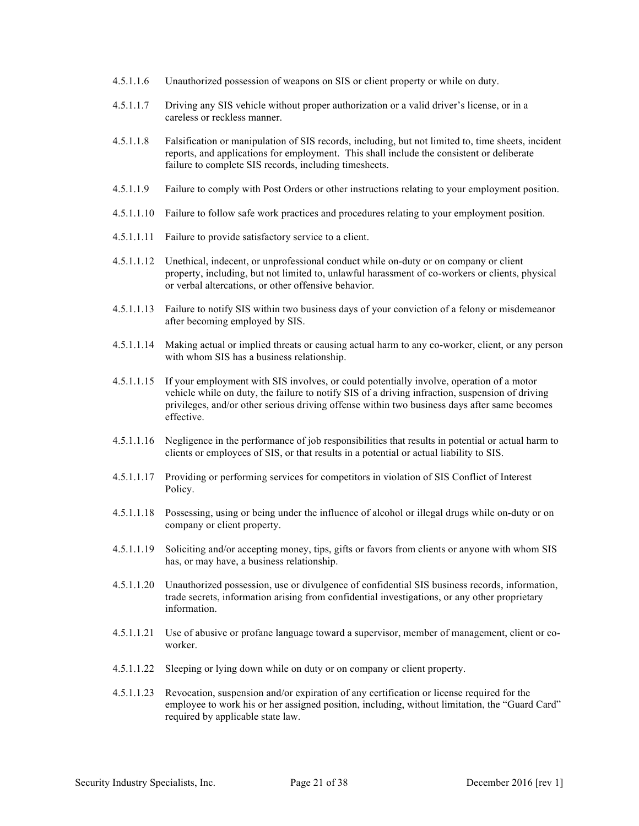- 4.5.1.1.6 Unauthorized possession of weapons on SIS or client property or while on duty.
- 4.5.1.1.7 Driving any SIS vehicle without proper authorization or a valid driver's license, or in a careless or reckless manner.
- 4.5.1.1.8 Falsification or manipulation of SIS records, including, but not limited to, time sheets, incident reports, and applications for employment. This shall include the consistent or deliberate failure to complete SIS records, including timesheets.
- 4.5.1.1.9 Failure to comply with Post Orders or other instructions relating to your employment position.
- 4.5.1.1.10 Failure to follow safe work practices and procedures relating to your employment position.
- 4.5.1.1.11 Failure to provide satisfactory service to a client.
- 4.5.1.1.12 Unethical, indecent, or unprofessional conduct while on-duty or on company or client property, including, but not limited to, unlawful harassment of co-workers or clients, physical or verbal altercations, or other offensive behavior.
- 4.5.1.1.13 Failure to notify SIS within two business days of your conviction of a felony or misdemeanor after becoming employed by SIS.
- 4.5.1.1.14 Making actual or implied threats or causing actual harm to any co-worker, client, or any person with whom SIS has a business relationship.
- 4.5.1.1.15 If your employment with SIS involves, or could potentially involve, operation of a motor vehicle while on duty, the failure to notify SIS of a driving infraction, suspension of driving privileges, and/or other serious driving offense within two business days after same becomes effective.
- 4.5.1.1.16 Negligence in the performance of job responsibilities that results in potential or actual harm to clients or employees of SIS, or that results in a potential or actual liability to SIS.
- 4.5.1.1.17 Providing or performing services for competitors in violation of SIS Conflict of Interest Policy.
- 4.5.1.1.18 Possessing, using or being under the influence of alcohol or illegal drugs while on-duty or on company or client property.
- 4.5.1.1.19 Soliciting and/or accepting money, tips, gifts or favors from clients or anyone with whom SIS has, or may have, a business relationship.
- 4.5.1.1.20 Unauthorized possession, use or divulgence of confidential SIS business records, information, trade secrets, information arising from confidential investigations, or any other proprietary information.
- 4.5.1.1.21 Use of abusive or profane language toward a supervisor, member of management, client or coworker.
- 4.5.1.1.22 Sleeping or lying down while on duty or on company or client property.
- 4.5.1.1.23 Revocation, suspension and/or expiration of any certification or license required for the employee to work his or her assigned position, including, without limitation, the "Guard Card" required by applicable state law.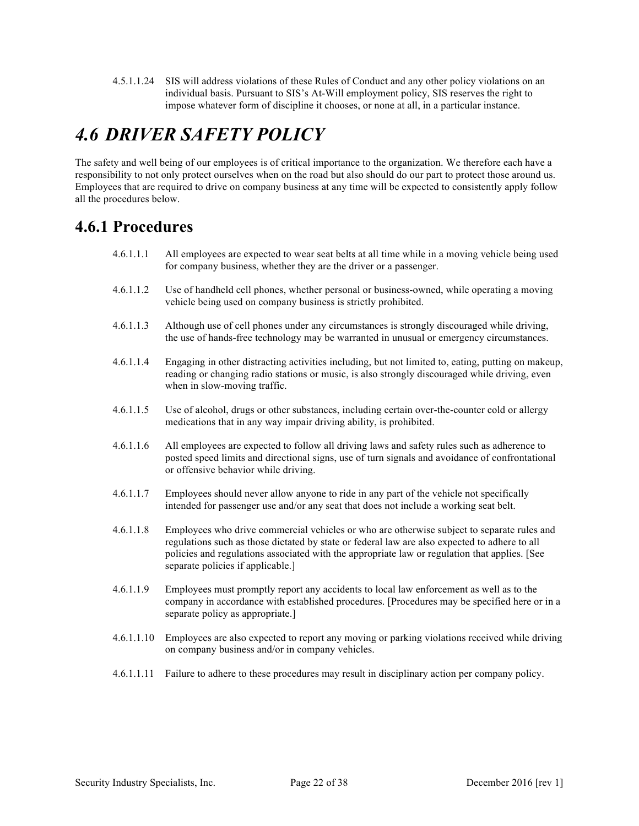4.5.1.1.24 SIS will address violations of these Rules of Conduct and any other policy violations on an individual basis. Pursuant to SIS's At-Will employment policy, SIS reserves the right to impose whatever form of discipline it chooses, or none at all, in a particular instance.

### *4.6 DRIVER SAFETY POLICY*

The safety and well being of our employees is of critical importance to the organization. We therefore each have a responsibility to not only protect ourselves when on the road but also should do our part to protect those around us. Employees that are required to drive on company business at any time will be expected to consistently apply follow all the procedures below.

#### **4.6.1 Procedures**

- 4.6.1.1.1 All employees are expected to wear seat belts at all time while in a moving vehicle being used for company business, whether they are the driver or a passenger.
- 4.6.1.1.2 Use of handheld cell phones, whether personal or business-owned, while operating a moving vehicle being used on company business is strictly prohibited.
- 4.6.1.1.3 Although use of cell phones under any circumstances is strongly discouraged while driving, the use of hands-free technology may be warranted in unusual or emergency circumstances.
- 4.6.1.1.4 Engaging in other distracting activities including, but not limited to, eating, putting on makeup, reading or changing radio stations or music, is also strongly discouraged while driving, even when in slow-moving traffic.
- 4.6.1.1.5 Use of alcohol, drugs or other substances, including certain over-the-counter cold or allergy medications that in any way impair driving ability, is prohibited.
- 4.6.1.1.6 All employees are expected to follow all driving laws and safety rules such as adherence to posted speed limits and directional signs, use of turn signals and avoidance of confrontational or offensive behavior while driving.
- 4.6.1.1.7 Employees should never allow anyone to ride in any part of the vehicle not specifically intended for passenger use and/or any seat that does not include a working seat belt.
- 4.6.1.1.8 Employees who drive commercial vehicles or who are otherwise subject to separate rules and regulations such as those dictated by state or federal law are also expected to adhere to all policies and regulations associated with the appropriate law or regulation that applies. [See separate policies if applicable.]
- 4.6.1.1.9 Employees must promptly report any accidents to local law enforcement as well as to the company in accordance with established procedures. [Procedures may be specified here or in a separate policy as appropriate.]
- 4.6.1.1.10 Employees are also expected to report any moving or parking violations received while driving on company business and/or in company vehicles.
- 4.6.1.1.11 Failure to adhere to these procedures may result in disciplinary action per company policy.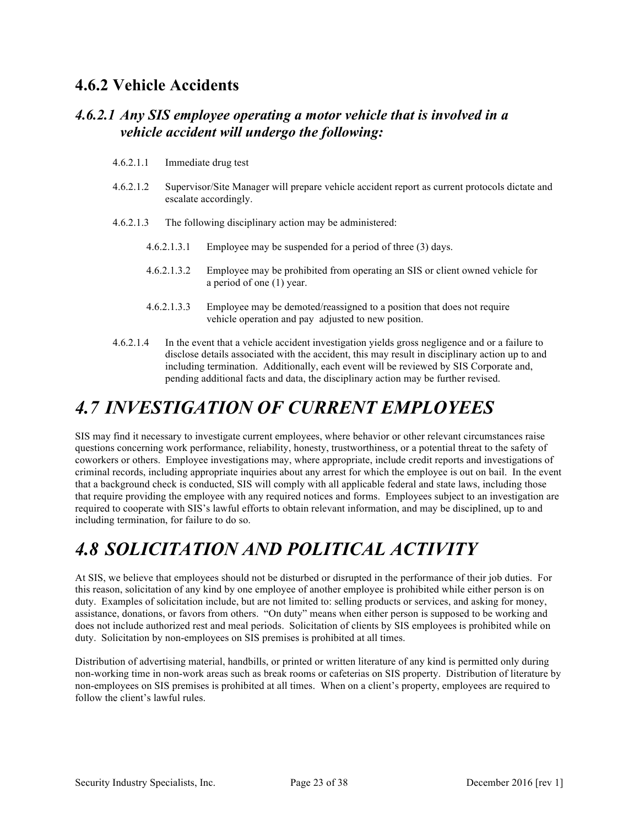#### **4.6.2 Vehicle Accidents**

#### *4.6.2.1 Any SIS employee operating a motor vehicle that is involved in a vehicle accident will undergo the following:*

- 4.6.2.1.1 Immediate drug test
- 4.6.2.1.2 Supervisor/Site Manager will prepare vehicle accident report as current protocols dictate and escalate accordingly.
- 4.6.2.1.3 The following disciplinary action may be administered:
	- 4.6.2.1.3.1 Employee may be suspended for a period of three (3) days.
	- 4.6.2.1.3.2 Employee may be prohibited from operating an SIS or client owned vehicle for a period of one (1) year.
	- 4.6.2.1.3.3 Employee may be demoted/reassigned to a position that does not require vehicle operation and pay adjusted to new position.
- 4.6.2.1.4 In the event that a vehicle accident investigation yields gross negligence and or a failure to disclose details associated with the accident, this may result in disciplinary action up to and including termination. Additionally, each event will be reviewed by SIS Corporate and, pending additional facts and data, the disciplinary action may be further revised.

### *4.7 INVESTIGATION OF CURRENT EMPLOYEES*

SIS may find it necessary to investigate current employees, where behavior or other relevant circumstances raise questions concerning work performance, reliability, honesty, trustworthiness, or a potential threat to the safety of coworkers or others. Employee investigations may, where appropriate, include credit reports and investigations of criminal records, including appropriate inquiries about any arrest for which the employee is out on bail. In the event that a background check is conducted, SIS will comply with all applicable federal and state laws, including those that require providing the employee with any required notices and forms. Employees subject to an investigation are required to cooperate with SIS's lawful efforts to obtain relevant information, and may be disciplined, up to and including termination, for failure to do so.

### *4.8 SOLICITATION AND POLITICAL ACTIVITY*

At SIS, we believe that employees should not be disturbed or disrupted in the performance of their job duties. For this reason, solicitation of any kind by one employee of another employee is prohibited while either person is on duty. Examples of solicitation include, but are not limited to: selling products or services, and asking for money, assistance, donations, or favors from others. "On duty" means when either person is supposed to be working and does not include authorized rest and meal periods. Solicitation of clients by SIS employees is prohibited while on duty. Solicitation by non-employees on SIS premises is prohibited at all times.

Distribution of advertising material, handbills, or printed or written literature of any kind is permitted only during non-working time in non-work areas such as break rooms or cafeterias on SIS property. Distribution of literature by non-employees on SIS premises is prohibited at all times. When on a client's property, employees are required to follow the client's lawful rules.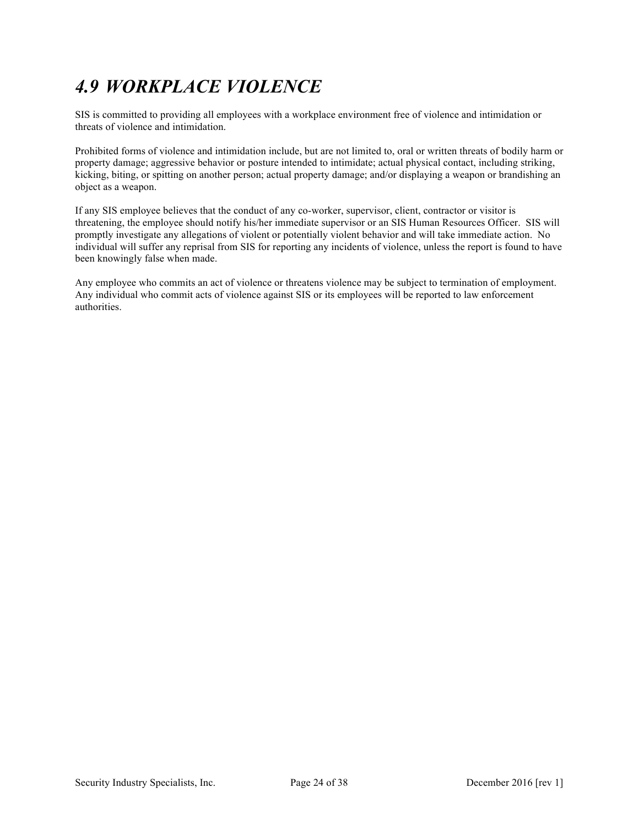## *4.9 WORKPLACE VIOLENCE*

SIS is committed to providing all employees with a workplace environment free of violence and intimidation or threats of violence and intimidation.

Prohibited forms of violence and intimidation include, but are not limited to, oral or written threats of bodily harm or property damage; aggressive behavior or posture intended to intimidate; actual physical contact, including striking, kicking, biting, or spitting on another person; actual property damage; and/or displaying a weapon or brandishing an object as a weapon.

If any SIS employee believes that the conduct of any co-worker, supervisor, client, contractor or visitor is threatening, the employee should notify his/her immediate supervisor or an SIS Human Resources Officer. SIS will promptly investigate any allegations of violent or potentially violent behavior and will take immediate action. No individual will suffer any reprisal from SIS for reporting any incidents of violence, unless the report is found to have been knowingly false when made.

Any employee who commits an act of violence or threatens violence may be subject to termination of employment. Any individual who commit acts of violence against SIS or its employees will be reported to law enforcement authorities.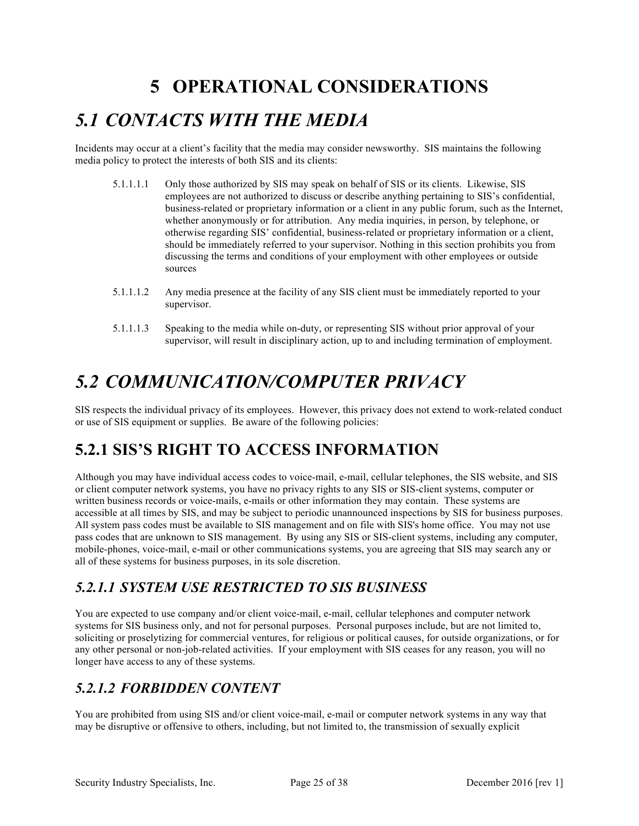### **5 OPERATIONAL CONSIDERATIONS**

### *5.1 CONTACTS WITH THE MEDIA*

Incidents may occur at a client's facility that the media may consider newsworthy. SIS maintains the following media policy to protect the interests of both SIS and its clients:

- 5.1.1.1.1 Only those authorized by SIS may speak on behalf of SIS or its clients. Likewise, SIS employees are not authorized to discuss or describe anything pertaining to SIS's confidential, business-related or proprietary information or a client in any public forum, such as the Internet, whether anonymously or for attribution. Any media inquiries, in person, by telephone, or otherwise regarding SIS' confidential, business-related or proprietary information or a client, should be immediately referred to your supervisor. Nothing in this section prohibits you from discussing the terms and conditions of your employment with other employees or outside sources
- 5.1.1.1.2 Any media presence at the facility of any SIS client must be immediately reported to your supervisor.
- 5.1.1.1.3 Speaking to the media while on-duty, or representing SIS without prior approval of your supervisor, will result in disciplinary action, up to and including termination of employment.

### *5.2 COMMUNICATION/COMPUTER PRIVACY*

SIS respects the individual privacy of its employees. However, this privacy does not extend to work-related conduct or use of SIS equipment or supplies. Be aware of the following policies:

#### **5.2.1 SIS'S RIGHT TO ACCESS INFORMATION**

Although you may have individual access codes to voice-mail, e-mail, cellular telephones, the SIS website, and SIS or client computer network systems, you have no privacy rights to any SIS or SIS-client systems, computer or written business records or voice-mails, e-mails or other information they may contain. These systems are accessible at all times by SIS, and may be subject to periodic unannounced inspections by SIS for business purposes. All system pass codes must be available to SIS management and on file with SIS's home office. You may not use pass codes that are unknown to SIS management. By using any SIS or SIS-client systems, including any computer, mobile-phones, voice-mail, e-mail or other communications systems, you are agreeing that SIS may search any or all of these systems for business purposes, in its sole discretion.

#### *5.2.1.1 SYSTEM USE RESTRICTED TO SIS BUSINESS*

You are expected to use company and/or client voice-mail, e-mail, cellular telephones and computer network systems for SIS business only, and not for personal purposes. Personal purposes include, but are not limited to, soliciting or proselytizing for commercial ventures, for religious or political causes, for outside organizations, or for any other personal or non-job-related activities. If your employment with SIS ceases for any reason, you will no longer have access to any of these systems.

#### *5.2.1.2 FORBIDDEN CONTENT*

You are prohibited from using SIS and/or client voice-mail, e-mail or computer network systems in any way that may be disruptive or offensive to others, including, but not limited to, the transmission of sexually explicit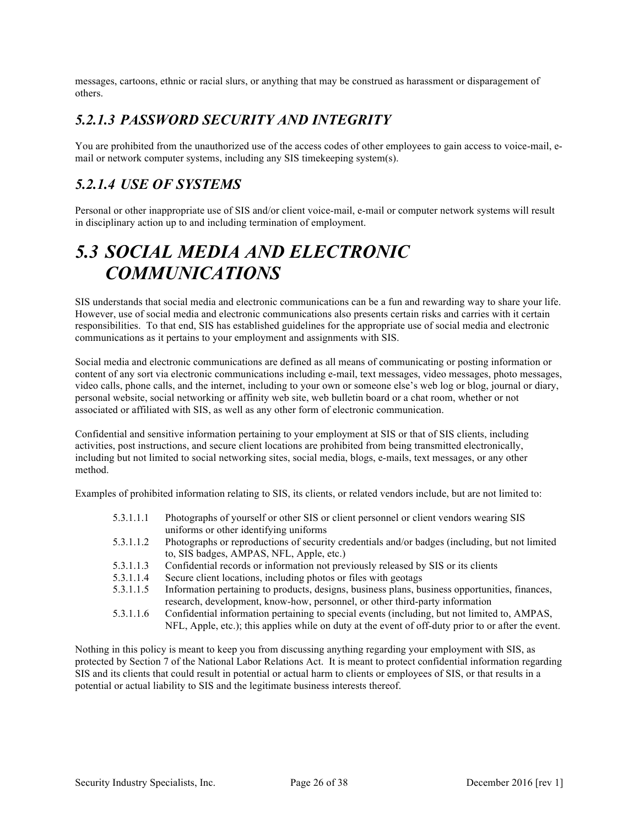messages, cartoons, ethnic or racial slurs, or anything that may be construed as harassment or disparagement of others.

#### *5.2.1.3 PASSWORD SECURITY AND INTEGRITY*

You are prohibited from the unauthorized use of the access codes of other employees to gain access to voice-mail, email or network computer systems, including any SIS timekeeping system(s).

#### *5.2.1.4 USE OF SYSTEMS*

Personal or other inappropriate use of SIS and/or client voice-mail, e-mail or computer network systems will result in disciplinary action up to and including termination of employment.

### *5.3 SOCIAL MEDIA AND ELECTRONIC COMMUNICATIONS*

SIS understands that social media and electronic communications can be a fun and rewarding way to share your life. However, use of social media and electronic communications also presents certain risks and carries with it certain responsibilities. To that end, SIS has established guidelines for the appropriate use of social media and electronic communications as it pertains to your employment and assignments with SIS.

Social media and electronic communications are defined as all means of communicating or posting information or content of any sort via electronic communications including e-mail, text messages, video messages, photo messages, video calls, phone calls, and the internet, including to your own or someone else's web log or blog, journal or diary, personal website, social networking or affinity web site, web bulletin board or a chat room, whether or not associated or affiliated with SIS, as well as any other form of electronic communication.

Confidential and sensitive information pertaining to your employment at SIS or that of SIS clients, including activities, post instructions, and secure client locations are prohibited from being transmitted electronically, including but not limited to social networking sites, social media, blogs, e-mails, text messages, or any other method.

Examples of prohibited information relating to SIS, its clients, or related vendors include, but are not limited to:

- 5.3.1.1.1 Photographs of yourself or other SIS or client personnel or client vendors wearing SIS uniforms or other identifying uniforms
- 5.3.1.1.2 Photographs or reproductions of security credentials and/or badges (including, but not limited to, SIS badges, AMPAS, NFL, Apple, etc.)
- 5.3.1.1.3 Confidential records or information not previously released by SIS or its clients
- 5.3.1.1.4 Secure client locations, including photos or files with geotags
- 5.3.1.1.5 Information pertaining to products, designs, business plans, business opportunities, finances, research, development, know-how, personnel, or other third-party information
- 5.3.1.1.6 Confidential information pertaining to special events (including, but not limited to, AMPAS, NFL, Apple, etc.); this applies while on duty at the event of off-duty prior to or after the event.

Nothing in this policy is meant to keep you from discussing anything regarding your employment with SIS, as protected by Section 7 of the National Labor Relations Act. It is meant to protect confidential information regarding SIS and its clients that could result in potential or actual harm to clients or employees of SIS, or that results in a potential or actual liability to SIS and the legitimate business interests thereof.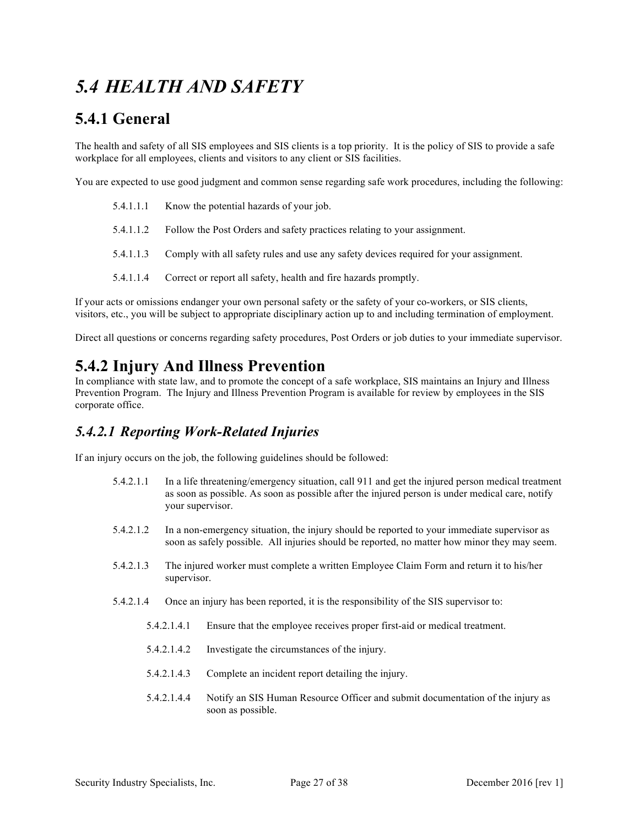### *5.4 HEALTH AND SAFETY*

#### **5.4.1 General**

The health and safety of all SIS employees and SIS clients is a top priority. It is the policy of SIS to provide a safe workplace for all employees, clients and visitors to any client or SIS facilities.

You are expected to use good judgment and common sense regarding safe work procedures, including the following:

|           | 5.4.1.1.1 Know the potential hazards of your job.                                     |
|-----------|---------------------------------------------------------------------------------------|
|           | 5.4.1.1.2 Follow the Post Orders and safety practices relating to your assignment.    |
| 5.4.1.1.3 | Comply with all safety rules and use any safety devices required for your assignment. |

5.4.1.1.4 Correct or report all safety, health and fire hazards promptly.

If your acts or omissions endanger your own personal safety or the safety of your co-workers, or SIS clients, visitors, etc., you will be subject to appropriate disciplinary action up to and including termination of employment.

Direct all questions or concerns regarding safety procedures, Post Orders or job duties to your immediate supervisor.

#### **5.4.2 Injury And Illness Prevention**

In compliance with state law, and to promote the concept of a safe workplace, SIS maintains an Injury and Illness Prevention Program. The Injury and Illness Prevention Program is available for review by employees in the SIS corporate office.

#### *5.4.2.1 Reporting Work-Related Injuries*

If an injury occurs on the job, the following guidelines should be followed:

- 5.4.2.1.1 In a life threatening/emergency situation, call 911 and get the injured person medical treatment as soon as possible. As soon as possible after the injured person is under medical care, notify your supervisor.
- 5.4.2.1.2 In a non-emergency situation, the injury should be reported to your immediate supervisor as soon as safely possible. All injuries should be reported, no matter how minor they may seem.
- 5.4.2.1.3 The injured worker must complete a written Employee Claim Form and return it to his/her supervisor.
- 5.4.2.1.4 Once an injury has been reported, it is the responsibility of the SIS supervisor to:
	- 5.4.2.1.4.1 Ensure that the employee receives proper first-aid or medical treatment.
	- 5.4.2.1.4.2 Investigate the circumstances of the injury.
	- 5.4.2.1.4.3 Complete an incident report detailing the injury.
	- 5.4.2.1.4.4 Notify an SIS Human Resource Officer and submit documentation of the injury as soon as possible.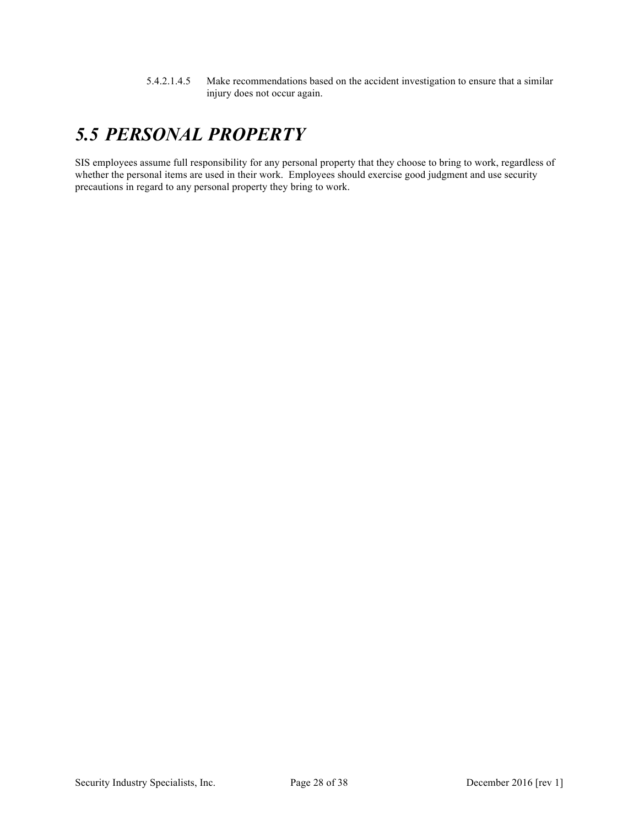5.4.2.1.4.5 Make recommendations based on the accident investigation to ensure that a similar injury does not occur again.

### *5.5 PERSONAL PROPERTY*

SIS employees assume full responsibility for any personal property that they choose to bring to work, regardless of whether the personal items are used in their work. Employees should exercise good judgment and use security precautions in regard to any personal property they bring to work.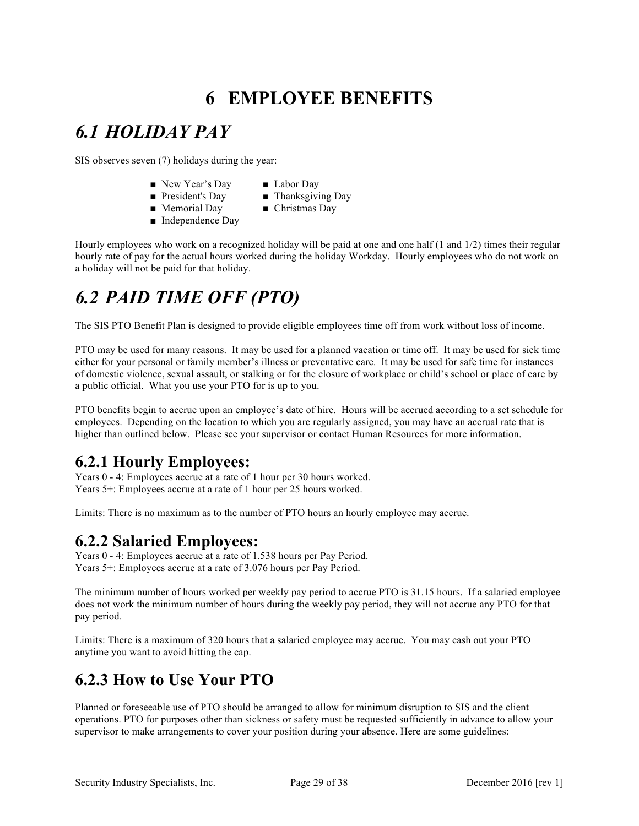### **6 EMPLOYEE BENEFITS**

### *6.1 HOLIDAY PAY*

SIS observes seven (7) holidays during the year:

- New Year's Day Labor Day
	-
- President's Day Thanksgiving Day
- Memorial Day Christmas Day
	-
- Independence Day

Hourly employees who work on a recognized holiday will be paid at one and one half (1 and 1/2) times their regular hourly rate of pay for the actual hours worked during the holiday Workday. Hourly employees who do not work on a holiday will not be paid for that holiday.

# *6.2 PAID TIME OFF (PTO)*

The SIS PTO Benefit Plan is designed to provide eligible employees time off from work without loss of income.

PTO may be used for many reasons. It may be used for a planned vacation or time off. It may be used for sick time either for your personal or family member's illness or preventative care. It may be used for safe time for instances of domestic violence, sexual assault, or stalking or for the closure of workplace or child's school or place of care by a public official. What you use your PTO for is up to you.

PTO benefits begin to accrue upon an employee's date of hire. Hours will be accrued according to a set schedule for employees. Depending on the location to which you are regularly assigned, you may have an accrual rate that is higher than outlined below. Please see your supervisor or contact Human Resources for more information.

#### **6.2.1 Hourly Employees:**

Years 0 - 4: Employees accrue at a rate of 1 hour per 30 hours worked. Years 5+: Employees accrue at a rate of 1 hour per 25 hours worked.

Limits: There is no maximum as to the number of PTO hours an hourly employee may accrue.

#### **6.2.2 Salaried Employees:**

Years 0 - 4: Employees accrue at a rate of 1.538 hours per Pay Period. Years 5+: Employees accrue at a rate of 3.076 hours per Pay Period.

The minimum number of hours worked per weekly pay period to accrue PTO is 31.15 hours. If a salaried employee does not work the minimum number of hours during the weekly pay period, they will not accrue any PTO for that pay period.

Limits: There is a maximum of 320 hours that a salaried employee may accrue. You may cash out your PTO anytime you want to avoid hitting the cap.

#### **6.2.3 How to Use Your PTO**

Planned or foreseeable use of PTO should be arranged to allow for minimum disruption to SIS and the client operations. PTO for purposes other than sickness or safety must be requested sufficiently in advance to allow your supervisor to make arrangements to cover your position during your absence. Here are some guidelines: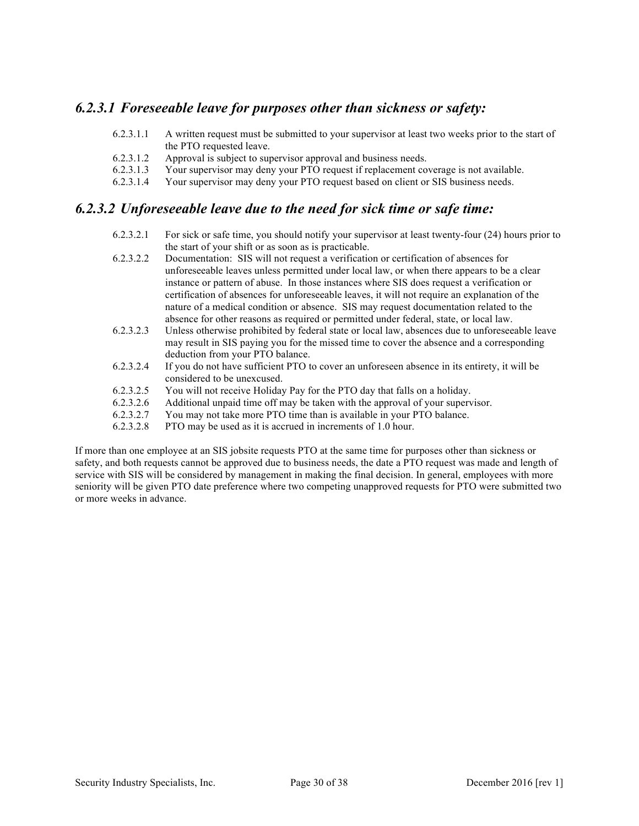#### *6.2.3.1 Foreseeable leave for purposes other than sickness or safety:*

- 6.2.3.1.1 A written request must be submitted to your supervisor at least two weeks prior to the start of the PTO requested leave.
- 6.2.3.1.2 Approval is subject to supervisor approval and business needs.
- 6.2.3.1.3 Your supervisor may deny your PTO request if replacement coverage is not available.
- 6.2.3.1.4 Your supervisor may deny your PTO request based on client or SIS business needs.

#### *6.2.3.2 Unforeseeable leave due to the need for sick time or safe time:*

- 6.2.3.2.1 For sick or safe time, you should notify your supervisor at least twenty-four (24) hours prior to the start of your shift or as soon as is practicable.
- 6.2.3.2.2 Documentation: SIS will not request a verification or certification of absences for unforeseeable leaves unless permitted under local law, or when there appears to be a clear instance or pattern of abuse. In those instances where SIS does request a verification or certification of absences for unforeseeable leaves, it will not require an explanation of the nature of a medical condition or absence. SIS may request documentation related to the absence for other reasons as required or permitted under federal, state, or local law.
- 6.2.3.2.3 Unless otherwise prohibited by federal state or local law, absences due to unforeseeable leave may result in SIS paying you for the missed time to cover the absence and a corresponding deduction from your PTO balance.
- 6.2.3.2.4 If you do not have sufficient PTO to cover an unforeseen absence in its entirety, it will be considered to be unexcused.
- 6.2.3.2.5 You will not receive Holiday Pay for the PTO day that falls on a holiday.
- 6.2.3.2.6 Additional unpaid time off may be taken with the approval of your supervisor.
- 6.2.3.2.7 You may not take more PTO time than is available in your PTO balance.
- 6.2.3.2.8 PTO may be used as it is accrued in increments of 1.0 hour.

If more than one employee at an SIS jobsite requests PTO at the same time for purposes other than sickness or safety, and both requests cannot be approved due to business needs, the date a PTO request was made and length of service with SIS will be considered by management in making the final decision. In general, employees with more seniority will be given PTO date preference where two competing unapproved requests for PTO were submitted two or more weeks in advance.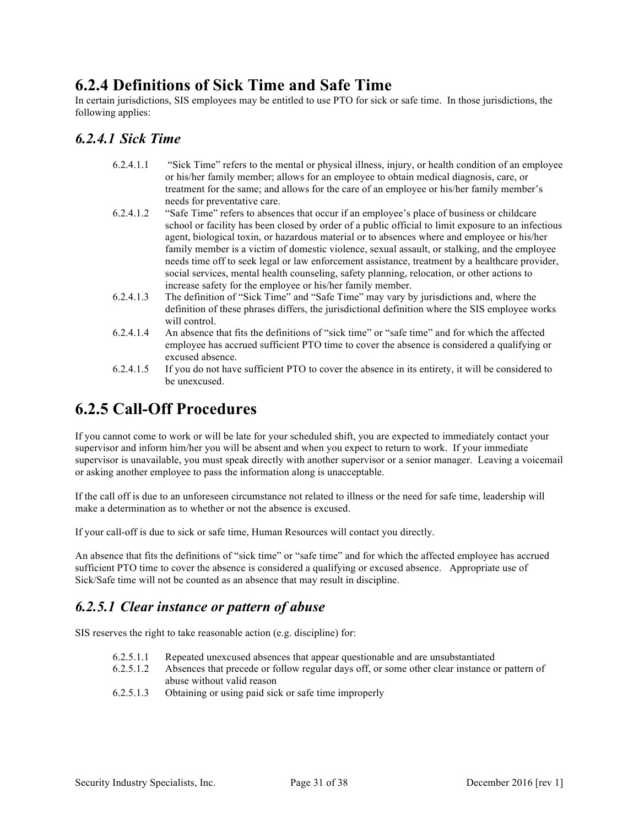#### **6.2.4 Definitions of Sick Time and Safe Time**

In certain jurisdictions, SIS employees may be entitled to use PTO for sick or safe time. In those jurisdictions, the following applies:

#### *6.2.4.1 Sick Time*

- 6.2.4.1.1 "Sick Time" refers to the mental or physical illness, injury, or health condition of an employee or his/her family member; allows for an employee to obtain medical diagnosis, care, or treatment for the same; and allows for the care of an employee or his/her family member's needs for preventative care.
- 6.2.4.1.2 "Safe Time" refers to absences that occur if an employee's place of business or childcare school or facility has been closed by order of a public official to limit exposure to an infectious agent, biological toxin, or hazardous material or to absences where and employee or his/her family member is a victim of domestic violence, sexual assault, or stalking, and the employee needs time off to seek legal or law enforcement assistance, treatment by a healthcare provider, social services, mental health counseling, safety planning, relocation, or other actions to increase safety for the employee or his/her family member.
- 6.2.4.1.3 The definition of "Sick Time" and "Safe Time" may vary by jurisdictions and, where the definition of these phrases differs, the jurisdictional definition where the SIS employee works will control.
- 6.2.4.1.4 An absence that fits the definitions of "sick time" or "safe time" and for which the affected employee has accrued sufficient PTO time to cover the absence is considered a qualifying or excused absence.
- 6.2.4.1.5 If you do not have sufficient PTO to cover the absence in its entirety, it will be considered to be unexcused.

#### **6.2.5 Call-Off Procedures**

If you cannot come to work or will be late for your scheduled shift, you are expected to immediately contact your supervisor and inform him/her you will be absent and when you expect to return to work. If your immediate supervisor is unavailable, you must speak directly with another supervisor or a senior manager. Leaving a voicemail or asking another employee to pass the information along is unacceptable.

If the call off is due to an unforeseen circumstance not related to illness or the need for safe time, leadership will make a determination as to whether or not the absence is excused.

If your call-off is due to sick or safe time, Human Resources will contact you directly.

An absence that fits the definitions of "sick time" or "safe time" and for which the affected employee has accrued sufficient PTO time to cover the absence is considered a qualifying or excused absence. Appropriate use of Sick/Safe time will not be counted as an absence that may result in discipline.

#### *6.2.5.1 Clear instance or pattern of abuse*

SIS reserves the right to take reasonable action (e.g. discipline) for:

- 6.2.5.1.1 Repeated unexcused absences that appear questionable and are unsubstantiated
- 6.2.5.1.2 Absences that precede or follow regular days off, or some other clear instance or pattern of abuse without valid reason
- 6.2.5.1.3 Obtaining or using paid sick or safe time improperly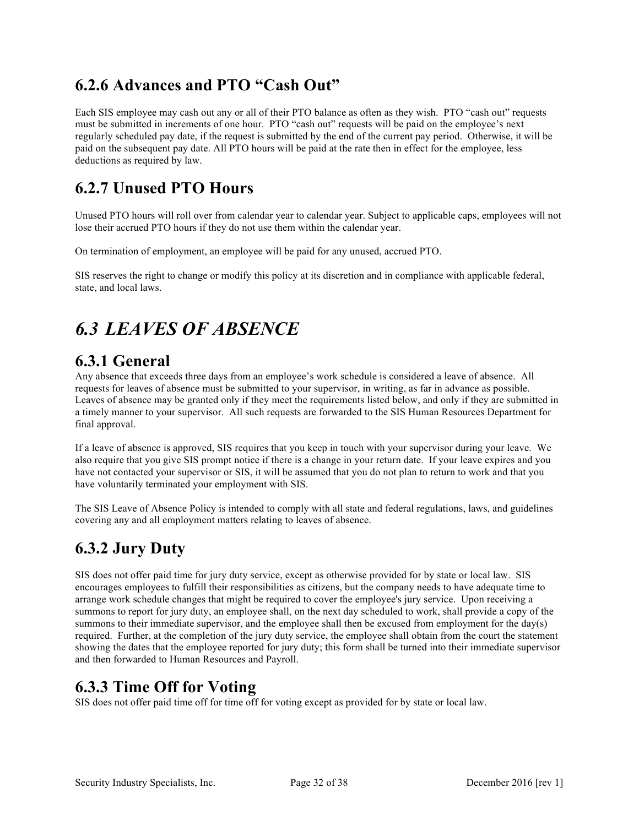#### **6.2.6 Advances and PTO "Cash Out"**

Each SIS employee may cash out any or all of their PTO balance as often as they wish. PTO "cash out" requests must be submitted in increments of one hour. PTO "cash out" requests will be paid on the employee's next regularly scheduled pay date, if the request is submitted by the end of the current pay period. Otherwise, it will be paid on the subsequent pay date. All PTO hours will be paid at the rate then in effect for the employee, less deductions as required by law.

#### **6.2.7 Unused PTO Hours**

Unused PTO hours will roll over from calendar year to calendar year. Subject to applicable caps, employees will not lose their accrued PTO hours if they do not use them within the calendar year.

On termination of employment, an employee will be paid for any unused, accrued PTO.

SIS reserves the right to change or modify this policy at its discretion and in compliance with applicable federal, state, and local laws.

### *6.3 LEAVES OF ABSENCE*

#### **6.3.1 General**

Any absence that exceeds three days from an employee's work schedule is considered a leave of absence. All requests for leaves of absence must be submitted to your supervisor, in writing, as far in advance as possible. Leaves of absence may be granted only if they meet the requirements listed below, and only if they are submitted in a timely manner to your supervisor. All such requests are forwarded to the SIS Human Resources Department for final approval.

If a leave of absence is approved, SIS requires that you keep in touch with your supervisor during your leave. We also require that you give SIS prompt notice if there is a change in your return date. If your leave expires and you have not contacted your supervisor or SIS, it will be assumed that you do not plan to return to work and that you have voluntarily terminated your employment with SIS.

The SIS Leave of Absence Policy is intended to comply with all state and federal regulations, laws, and guidelines covering any and all employment matters relating to leaves of absence.

### **6.3.2 Jury Duty**

SIS does not offer paid time for jury duty service, except as otherwise provided for by state or local law. SIS encourages employees to fulfill their responsibilities as citizens, but the company needs to have adequate time to arrange work schedule changes that might be required to cover the employee's jury service. Upon receiving a summons to report for jury duty, an employee shall, on the next day scheduled to work, shall provide a copy of the summons to their immediate supervisor, and the employee shall then be excused from employment for the day(s) required. Further, at the completion of the jury duty service, the employee shall obtain from the court the statement showing the dates that the employee reported for jury duty; this form shall be turned into their immediate supervisor and then forwarded to Human Resources and Payroll.

#### **6.3.3 Time Off for Voting**

SIS does not offer paid time off for time off for voting except as provided for by state or local law.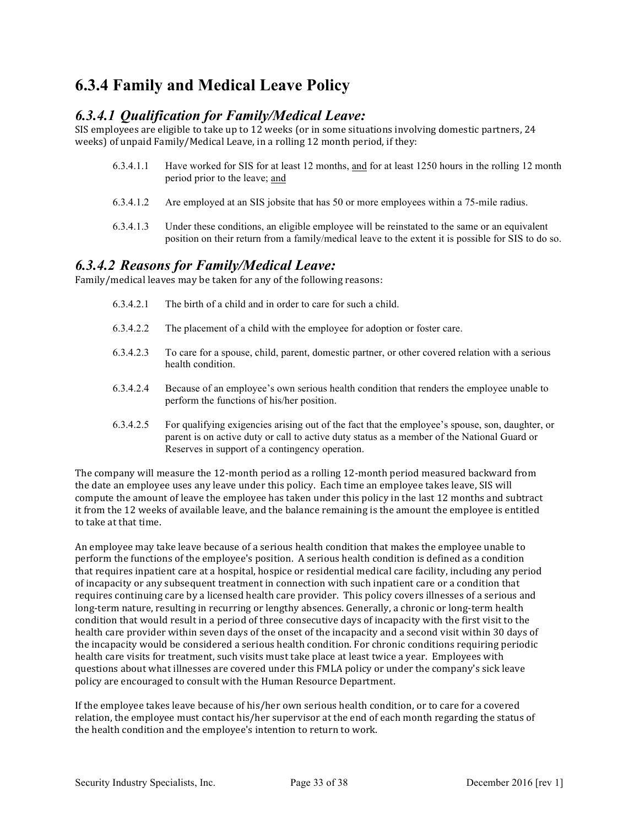#### **6.3.4 Family and Medical Leave Policy**

#### *6.3.4.1 Qualification for Family/Medical Leave:*

SIS employees are eligible to take up to 12 weeks (or in some situations involving domestic partners, 24 weeks) of unpaid Family/Medical Leave, in a rolling 12 month period, if they:

- 6.3.4.1.1 Have worked for SIS for at least 12 months, and for at least 1250 hours in the rolling 12 month period prior to the leave; and
- 6.3.4.1.2 Are employed at an SIS jobsite that has 50 or more employees within a 75-mile radius.
- 6.3.4.1.3 Under these conditions, an eligible employee will be reinstated to the same or an equivalent position on their return from a family/medical leave to the extent it is possible for SIS to do so.

#### *6.3.4.2 Reasons for Family/Medical Leave:*

Family/medical leaves may be taken for any of the following reasons:

- 6.3.4.2.1 The birth of a child and in order to care for such a child.
- 6.3.4.2.2 The placement of a child with the employee for adoption or foster care.
- 6.3.4.2.3 To care for a spouse, child, parent, domestic partner, or other covered relation with a serious health condition.
- 6.3.4.2.4 Because of an employee's own serious health condition that renders the employee unable to perform the functions of his/her position.
- 6.3.4.2.5 For qualifying exigencies arising out of the fact that the employee's spouse, son, daughter, or parent is on active duty or call to active duty status as a member of the National Guard or Reserves in support of a contingency operation.

The company will measure the 12-month period as a rolling 12-month period measured backward from the date an employee uses any leave under this policy. Each time an employee takes leave, SIS will compute the amount of leave the employee has taken under this policy in the last 12 months and subtract it from the 12 weeks of available leave, and the balance remaining is the amount the employee is entitled to take at that time.

An employee may take leave because of a serious health condition that makes the employee unable to perform the functions of the employee's position. A serious health condition is defined as a condition that requires inpatient care at a hospital, hospice or residential medical care facility, including any period of incapacity or any subsequent treatment in connection with such inpatient care or a condition that requires continuing care by a licensed health care provider. This policy covers illnesses of a serious and long-term nature, resulting in recurring or lengthy absences. Generally, a chronic or long-term health condition that would result in a period of three consecutive days of incapacity with the first visit to the health care provider within seven days of the onset of the incapacity and a second visit within 30 days of the incapacity would be considered a serious health condition. For chronic conditions requiring periodic health care visits for treatment, such visits must take place at least twice a year. Employees with questions about what illnesses are covered under this FMLA policy or under the company's sick leave policy are encouraged to consult with the Human Resource Department.

If the employee takes leave because of his/her own serious health condition, or to care for a covered relation, the employee must contact his/her supervisor at the end of each month regarding the status of the health condition and the employee's intention to return to work.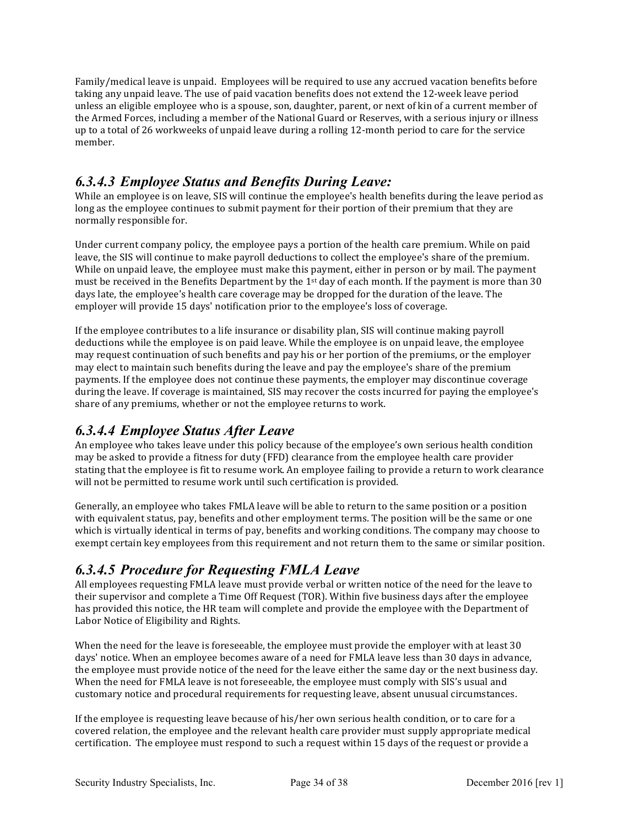Family/medical leave is unpaid. Employees will be required to use any accrued vacation benefits before taking any unpaid leave. The use of paid vacation benefits does not extend the 12-week leave period unless an eligible employee who is a spouse, son, daughter, parent, or next of kin of a current member of the Armed Forces, including a member of the National Guard or Reserves, with a serious injury or illness up to a total of 26 workweeks of unpaid leave during a rolling 12-month period to care for the service member.

#### *6.3.4.3 Employee Status and Benefits During Leave:*

While an employee is on leave, SIS will continue the employee's health benefits during the leave period as long as the employee continues to submit payment for their portion of their premium that they are normally responsible for.

Under current company policy, the employee pays a portion of the health care premium. While on paid leave, the SIS will continue to make payroll deductions to collect the employee's share of the premium. While on unpaid leave, the employee must make this payment, either in person or by mail. The payment must be received in the Benefits Department by the  $1<sup>st</sup>$  day of each month. If the payment is more than 30 days late, the employee's health care coverage may be dropped for the duration of the leave. The employer will provide 15 days' notification prior to the employee's loss of coverage.

If the employee contributes to a life insurance or disability plan, SIS will continue making payroll deductions while the employee is on paid leave. While the employee is on unpaid leave, the employee may request continuation of such benefits and pay his or her portion of the premiums, or the employer may elect to maintain such benefits during the leave and pay the employee's share of the premium payments. If the employee does not continue these payments, the employer may discontinue coverage during the leave. If coverage is maintained, SIS may recover the costs incurred for paying the employee's share of any premiums, whether or not the employee returns to work.

#### *6.3.4.4 Employee Status After Leave*

An employee who takes leave under this policy because of the employee's own serious health condition may be asked to provide a fitness for duty (FFD) clearance from the employee health care provider stating that the employee is fit to resume work. An employee failing to provide a return to work clearance will not be permitted to resume work until such certification is provided.

Generally, an employee who takes FMLA leave will be able to return to the same position or a position with equivalent status, pay, benefits and other employment terms. The position will be the same or one which is virtually identical in terms of pay, benefits and working conditions. The company may choose to exempt certain key employees from this requirement and not return them to the same or similar position.

#### *6.3.4.5 Procedure for Requesting FMLA Leave*

All employees requesting FMLA leave must provide verbal or written notice of the need for the leave to their supervisor and complete a Time Off Request (TOR). Within five business days after the employee has provided this notice, the HR team will complete and provide the employee with the Department of Labor Notice of Eligibility and Rights.

When the need for the leave is foreseeable, the employee must provide the employer with at least 30 days' notice. When an employee becomes aware of a need for FMLA leave less than 30 days in advance, the employee must provide notice of the need for the leave either the same day or the next business day. When the need for FMLA leave is not foreseeable, the employee must comply with SIS's usual and customary notice and procedural requirements for requesting leave, absent unusual circumstances.

If the employee is requesting leave because of his/her own serious health condition, or to care for a covered relation, the employee and the relevant health care provider must supply appropriate medical certification. The employee must respond to such a request within 15 days of the request or provide a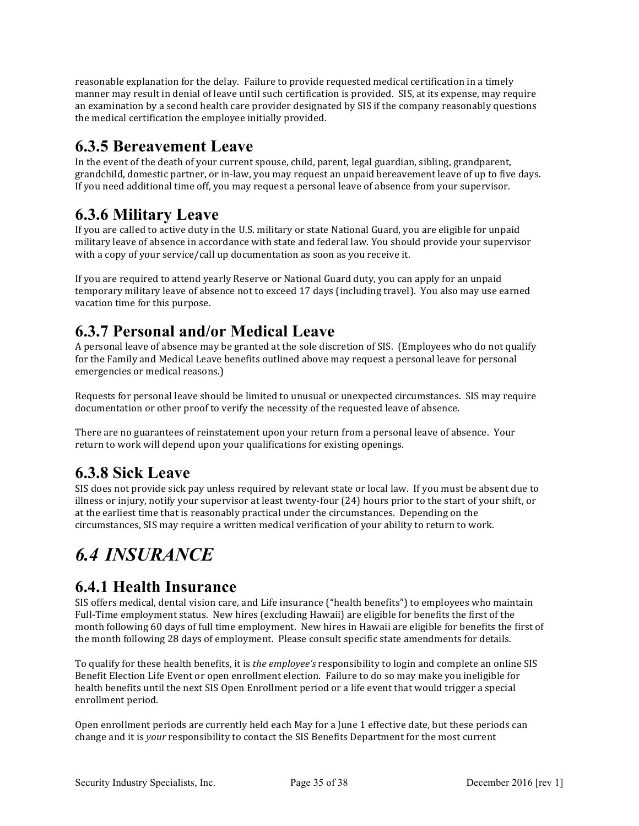reasonable explanation for the delay. Failure to provide requested medical certification in a timely manner may result in denial of leave until such certification is provided. SIS, at its expense, may require an examination by a second health care provider designated by SIS if the company reasonably questions the medical certification the employee initially provided.

#### **6.3.5 Bereavement Leave**

In the event of the death of your current spouse, child, parent, legal guardian, sibling, grandparent, grandchild, domestic partner, or in-law, you may request an unpaid bereavement leave of up to five days. If you need additional time off, you may request a personal leave of absence from your supervisor.

#### **6.3.6 Military Leave**

If you are called to active duty in the U.S. military or state National Guard, you are eligible for unpaid military leave of absence in accordance with state and federal law. You should provide your supervisor with a copy of your service/call up documentation as soon as you receive it.

If you are required to attend yearly Reserve or National Guard duty, you can apply for an unpaid temporary military leave of absence not to exceed 17 days (including travel). You also may use earned vacation time for this purpose.

#### **6.3.7 Personal and/or Medical Leave**

A personal leave of absence may be granted at the sole discretion of SIS. (Employees who do not qualify for the Family and Medical Leave benefits outlined above may request a personal leave for personal emergencies or medical reasons.)

Requests for personal leave should be limited to unusual or unexpected circumstances. SIS may require documentation or other proof to verify the necessity of the requested leave of absence.

There are no guarantees of reinstatement upon your return from a personal leave of absence. Your return to work will depend upon your qualifications for existing openings.

### **6.3.8 Sick Leave**

SIS does not provide sick pay unless required by relevant state or local law. If you must be absent due to illness or injury, notify your supervisor at least twenty-four (24) hours prior to the start of your shift, or at the earliest time that is reasonably practical under the circumstances. Depending on the circumstances, SIS may require a written medical verification of your ability to return to work.

## *6.4 INSURANCE*

#### **6.4.1 Health Insurance**

SIS offers medical, dental vision care, and Life insurance ("health benefits") to employees who maintain Full-Time employment status. New hires (excluding Hawaii) are eligible for benefits the first of the month following 60 days of full time employment. New hires in Hawaii are eligible for benefits the first of the month following 28 days of employment. Please consult specific state amendments for details.

To qualify for these health benefits, it is *the employee's* responsibility to login and complete an online SIS Benefit Election Life Event or open enrollment election. Failure to do so may make you ineligible for health benefits until the next SIS Open Enrollment period or a life event that would trigger a special enrollment period.

Open enrollment periods are currently held each May for a June 1 effective date, but these periods can change and it is *your* responsibility to contact the SIS Benefits Department for the most current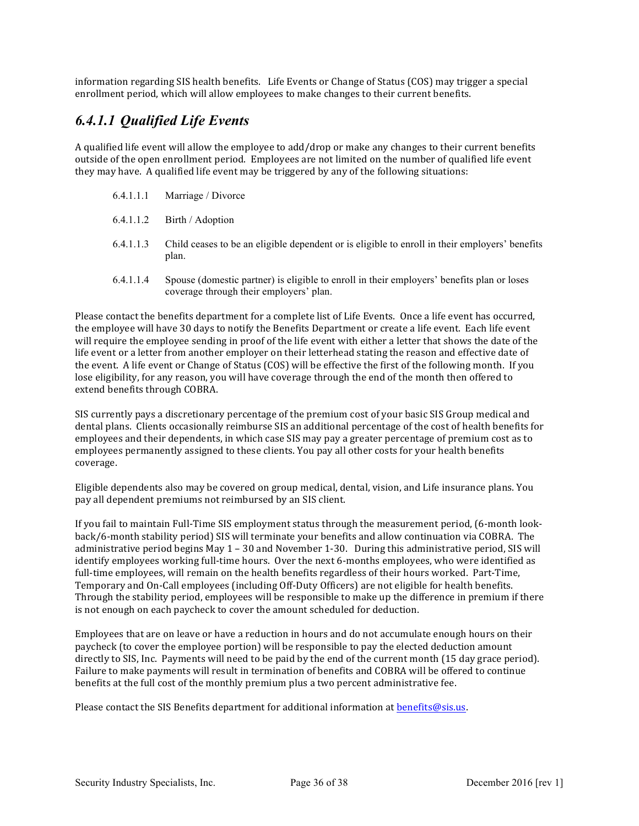information regarding SIS health benefits. Life Events or Change of Status (COS) may trigger a special enrollment period, which will allow employees to make changes to their current benefits.

#### *6.4.1.1 Qualified Life Events*

A qualified life event will allow the employee to add/drop or make any changes to their current benefits outside of the open enrollment period. Employees are not limited on the number of qualified life event they may have. A qualified life event may be triggered by any of the following situations:

- 6.4.1.1.1 Marriage / Divorce
- 6.4.1.1.2 Birth / Adoption
- 6.4.1.1.3 Child ceases to be an eligible dependent or is eligible to enroll in their employers' benefits plan.
- 6.4.1.1.4 Spouse (domestic partner) is eligible to enroll in their employers' benefits plan or loses coverage through their employers' plan.

Please contact the benefits department for a complete list of Life Events. Once a life event has occurred, the employee will have 30 days to notify the Benefits Department or create a life event. Each life event will require the employee sending in proof of the life event with either a letter that shows the date of the life event or a letter from another employer on their letterhead stating the reason and effective date of the event. A life event or Change of Status (COS) will be effective the first of the following month. If you lose eligibility, for any reason, you will have coverage through the end of the month then offered to extend benefits through COBRA.

SIS currently pays a discretionary percentage of the premium cost of your basic SIS Group medical and dental plans. Clients occasionally reimburse SIS an additional percentage of the cost of health benefits for employees and their dependents, in which case SIS may pay a greater percentage of premium cost as to employees permanently assigned to these clients. You pay all other costs for your health benefits coverage. 

Eligible dependents also may be covered on group medical, dental, vision, and Life insurance plans. You pay all dependent premiums not reimbursed by an SIS client.

If you fail to maintain Full-Time SIS employment status through the measurement period, (6-month lookback/6-month stability period) SIS will terminate your benefits and allow continuation via COBRA. The administrative period begins May  $1 - 30$  and November 1-30. During this administrative period, SIS will identify employees working full-time hours. Over the next 6-months employees, who were identified as full-time employees, will remain on the health benefits regardless of their hours worked. Part-Time, Temporary and On-Call employees (including Off-Duty Officers) are not eligible for health benefits. Through the stability period, employees will be responsible to make up the difference in premium if there is not enough on each paycheck to cover the amount scheduled for deduction.

Employees that are on leave or have a reduction in hours and do not accumulate enough hours on their paycheck (to cover the employee portion) will be responsible to pay the elected deduction amount directly to SIS, Inc. Payments will need to be paid by the end of the current month (15 day grace period). Failure to make payments will result in termination of benefits and COBRA will be offered to continue benefits at the full cost of the monthly premium plus a two percent administrative fee.

Please contact the SIS Benefits department for additional information at benefits@sis.us.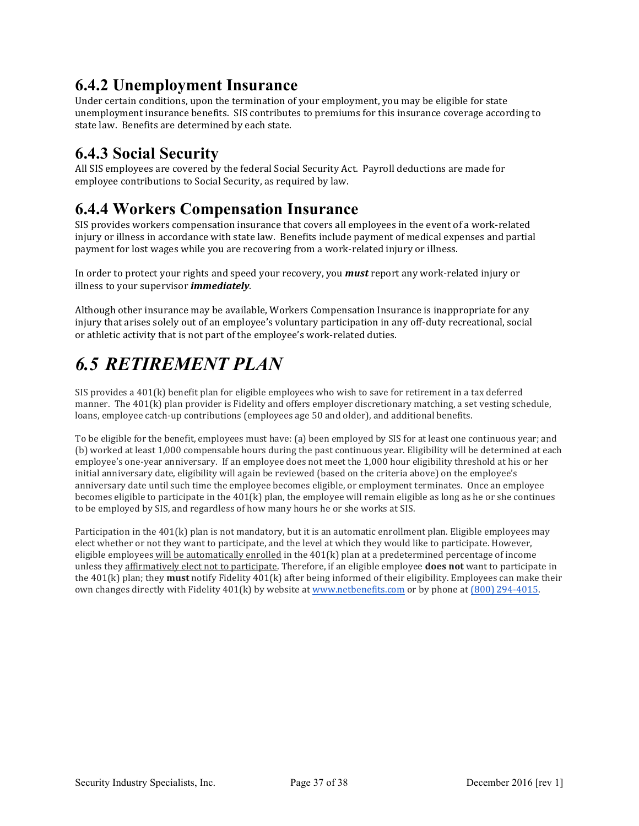### **6.4.2 Unemployment Insurance**

Under certain conditions, upon the termination of your employment, you may be eligible for state unemployment insurance benefits. SIS contributes to premiums for this insurance coverage according to state law. Benefits are determined by each state.

#### **6.4.3 Social Security**

All SIS employees are covered by the federal Social Security Act. Payroll deductions are made for employee contributions to Social Security, as required by law.

#### **6.4.4 Workers Compensation Insurance**

SIS provides workers compensation insurance that covers all employees in the event of a work-related injury or illness in accordance with state law. Benefits include payment of medical expenses and partial payment for lost wages while you are recovering from a work-related injury or illness.

In order to protect your rights and speed your recovery, you *must* report any work-related injury or illness to your supervisor *immediately*.

Although other insurance may be available, Workers Compensation Insurance is inappropriate for any injury that arises solely out of an employee's voluntary participation in any off-duty recreational, social or athletic activity that is not part of the employee's work-related duties.

### *6.5 RETIREMENT PLAN*

SIS provides a  $401(k)$  benefit plan for eligible employees who wish to save for retirement in a tax deferred manner. The  $401(k)$  plan provider is Fidelity and offers employer discretionary matching, a set vesting schedule, loans, employee catch-up contributions (employees age 50 and older), and additional benefits.

To be eligible for the benefit, employees must have: (a) been employed by SIS for at least one continuous year; and (b) worked at least 1,000 compensable hours during the past continuous year. Eligibility will be determined at each employee's one-year anniversary. If an employee does not meet the 1,000 hour eligibility threshold at his or her initial anniversary date, eligibility will again be reviewed (based on the criteria above) on the employee's anniversary date until such time the employee becomes eligible, or employment terminates. Once an employee becomes eligible to participate in the  $401(k)$  plan, the employee will remain eligible as long as he or she continues to be employed by SIS, and regardless of how many hours he or she works at SIS.

Participation in the  $401(k)$  plan is not mandatory, but it is an automatic enrollment plan. Eligible employees may elect whether or not they want to participate, and the level at which they would like to participate. However, eligible employees will be automatically enrolled in the  $401(k)$  plan at a predetermined percentage of income unless they affirmatively elect not to participate. Therefore, if an eligible employee **does not** want to participate in the  $401(k)$  plan; they **must** notify Fidelity  $401(k)$  after being informed of their eligibility. Employees can make their own changes directly with Fidelity  $401(k)$  by website at www.netbenefits.com or by phone at (800) 294-4015.